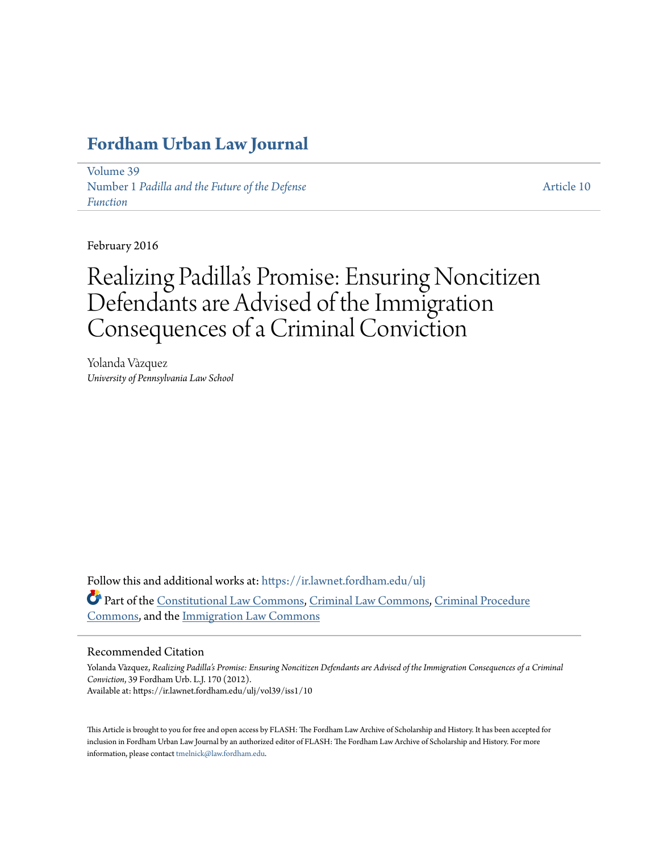# **[Fordham Urban Law Journal](https://ir.lawnet.fordham.edu/ulj?utm_source=ir.lawnet.fordham.edu%2Fulj%2Fvol39%2Fiss1%2F10&utm_medium=PDF&utm_campaign=PDFCoverPages)**

[Volume 39](https://ir.lawnet.fordham.edu/ulj/vol39?utm_source=ir.lawnet.fordham.edu%2Fulj%2Fvol39%2Fiss1%2F10&utm_medium=PDF&utm_campaign=PDFCoverPages) Number 1 *[Padilla and the Future of the Defense](https://ir.lawnet.fordham.edu/ulj/vol39/iss1?utm_source=ir.lawnet.fordham.edu%2Fulj%2Fvol39%2Fiss1%2F10&utm_medium=PDF&utm_campaign=PDFCoverPages) [Function](https://ir.lawnet.fordham.edu/ulj/vol39/iss1?utm_source=ir.lawnet.fordham.edu%2Fulj%2Fvol39%2Fiss1%2F10&utm_medium=PDF&utm_campaign=PDFCoverPages)*

[Article 10](https://ir.lawnet.fordham.edu/ulj/vol39/iss1/10?utm_source=ir.lawnet.fordham.edu%2Fulj%2Fvol39%2Fiss1%2F10&utm_medium=PDF&utm_campaign=PDFCoverPages)

February 2016

# Realizing Padilla 's Promise: Ensuring Noncitizen Defendants are Advised of the Immigration Consequences of a Criminal Conviction

Yolanda Vàzquez *University of Pennsylvania Law School*

Follow this and additional works at: [https://ir.lawnet.fordham.edu/ulj](https://ir.lawnet.fordham.edu/ulj?utm_source=ir.lawnet.fordham.edu%2Fulj%2Fvol39%2Fiss1%2F10&utm_medium=PDF&utm_campaign=PDFCoverPages) Part of the [Constitutional Law Commons,](http://network.bepress.com/hgg/discipline/589?utm_source=ir.lawnet.fordham.edu%2Fulj%2Fvol39%2Fiss1%2F10&utm_medium=PDF&utm_campaign=PDFCoverPages) [Criminal Law Commons](http://network.bepress.com/hgg/discipline/912?utm_source=ir.lawnet.fordham.edu%2Fulj%2Fvol39%2Fiss1%2F10&utm_medium=PDF&utm_campaign=PDFCoverPages), [Criminal Procedure](http://network.bepress.com/hgg/discipline/1073?utm_source=ir.lawnet.fordham.edu%2Fulj%2Fvol39%2Fiss1%2F10&utm_medium=PDF&utm_campaign=PDFCoverPages) [Commons,](http://network.bepress.com/hgg/discipline/1073?utm_source=ir.lawnet.fordham.edu%2Fulj%2Fvol39%2Fiss1%2F10&utm_medium=PDF&utm_campaign=PDFCoverPages) and the [Immigration Law Commons](http://network.bepress.com/hgg/discipline/604?utm_source=ir.lawnet.fordham.edu%2Fulj%2Fvol39%2Fiss1%2F10&utm_medium=PDF&utm_campaign=PDFCoverPages)

### Recommended Citation

Yolanda Vàzquez, *Realizing Padilla's Promise: Ensuring Noncitizen Defendants are Advised of the Immigration Consequences of a Criminal Conviction*, 39 Fordham Urb. L.J. 170 (2012). Available at: https://ir.lawnet.fordham.edu/ulj/vol39/iss1/10

This Article is brought to you for free and open access by FLASH: The Fordham Law Archive of Scholarship and History. It has been accepted for inclusion in Fordham Urban Law Journal by an authorized editor of FLASH: The Fordham Law Archive of Scholarship and History. For more information, please contact [tmelnick@law.fordham.edu](mailto:tmelnick@law.fordham.edu).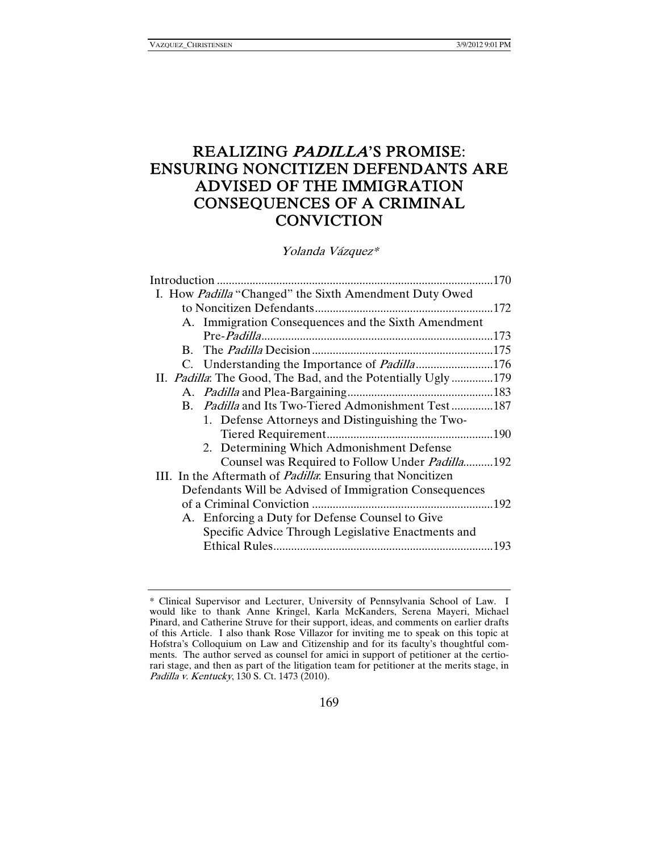# REALIZING PADILLA'S PROMISE: ENSURING NONCITIZEN DEFENDANTS ARE ADVISED OF THE IMMIGRATION CONSEQUENCES OF A CRIMINAL **CONVICTION**

Yolanda Vázquez\*

| I. How Padilla "Changed" the Sixth Amendment Duty Owed             |  |
|--------------------------------------------------------------------|--|
|                                                                    |  |
| A. Immigration Consequences and the Sixth Amendment                |  |
|                                                                    |  |
|                                                                    |  |
| C. Understanding the Importance of <i>Padilla</i> 176              |  |
| II. Padilla: The Good, The Bad, and the Potentially Ugly179        |  |
|                                                                    |  |
| B. Padilla and Its Two-Tiered Admonishment Test187                 |  |
| 1. Defense Attorneys and Distinguishing the Two-                   |  |
|                                                                    |  |
| 2. Determining Which Admonishment Defense                          |  |
| Counsel was Required to Follow Under <i>Padilla</i> .192           |  |
| III. In the Aftermath of <i>Padilla</i> : Ensuring that Noncitizen |  |
| Defendants Will be Advised of Immigration Consequences             |  |
|                                                                    |  |
| A. Enforcing a Duty for Defense Counsel to Give                    |  |
| Specific Advice Through Legislative Enactments and                 |  |
|                                                                    |  |

<sup>\*</sup> Clinical Supervisor and Lecturer, University of Pennsylvania School of Law. I would like to thank Anne Kringel, Karla McKanders, Serena Mayeri, Michael Pinard, and Catherine Struve for their support, ideas, and comments on earlier drafts of this Article. I also thank Rose Villazor for inviting me to speak on this topic at Hofstra's Colloquium on Law and Citizenship and for its faculty's thoughtful comments. The author served as counsel for amici in support of petitioner at the certiorari stage, and then as part of the litigation team for petitioner at the merits stage, in Padilla v. Kentucky, 130 S. Ct. 1473 (2010).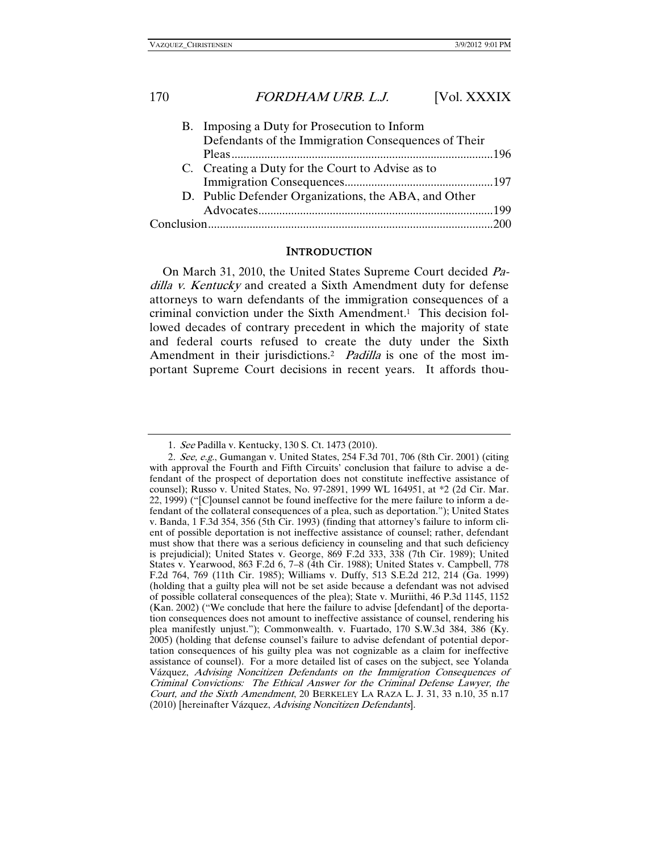| B. Imposing a Duty for Prosecution to Inform         |  |
|------------------------------------------------------|--|
| Defendants of the Immigration Consequences of Their  |  |
|                                                      |  |
| C. Creating a Duty for the Court to Advise as to     |  |
|                                                      |  |
| D. Public Defender Organizations, the ABA, and Other |  |
|                                                      |  |
|                                                      |  |
|                                                      |  |

### **INTRODUCTION**

On March 31, 2010, the United States Supreme Court decided Padilla v. Kentucky and created a Sixth Amendment duty for defense attorneys to warn defendants of the immigration consequences of a criminal conviction under the Sixth Amendment.1 This decision followed decades of contrary precedent in which the majority of state and federal courts refused to create the duty under the Sixth Amendment in their jurisdictions.<sup>2</sup> Padilla is one of the most important Supreme Court decisions in recent years. It affords thou-

<sup>1</sup>. See Padilla v. Kentucky, 130 S. Ct. 1473 (2010).

<sup>2</sup>. See, e.g., Gumangan v. United States, 254 F.3d 701, 706 (8th Cir. 2001) (citing with approval the Fourth and Fifth Circuits' conclusion that failure to advise a defendant of the prospect of deportation does not constitute ineffective assistance of counsel); Russo v. United States, No. 97-2891, 1999 WL 164951, at \*2 (2d Cir. Mar. 22, 1999) ("[C]ounsel cannot be found ineffective for the mere failure to inform a defendant of the collateral consequences of a plea, such as deportation."); United States v. Banda, 1 F.3d 354, 356 (5th Cir. 1993) (finding that attorney's failure to inform client of possible deportation is not ineffective assistance of counsel; rather, defendant must show that there was a serious deficiency in counseling and that such deficiency is prejudicial); United States v. George, 869 F.2d 333, 338 (7th Cir. 1989); United States v. Yearwood, 863 F.2d 6, 7–8 (4th Cir. 1988); United States v. Campbell, 778 F.2d 764, 769 (11th Cir. 1985); Williams v. Duffy, 513 S.E.2d 212, 214 (Ga. 1999) (holding that a guilty plea will not be set aside because a defendant was not advised of possible collateral consequences of the plea); State v. Muriithi, 46 P.3d 1145, 1152 (Kan. 2002) ("We conclude that here the failure to advise [defendant] of the deportation consequences does not amount to ineffective assistance of counsel, rendering his plea manifestly unjust."); Commonwealth. v. Fuartado, 170 S.W.3d 384, 386 (Ky. 2005) (holding that defense counsel's failure to advise defendant of potential deportation consequences of his guilty plea was not cognizable as a claim for ineffective assistance of counsel). For a more detailed list of cases on the subject, see Yolanda Vázquez, Advising Noncitizen Defendants on the Immigration Consequences of Criminal Convictions: The Ethical Answer for the Criminal Defense Lawyer, the Court, and the Sixth Amendment, 20 BERKELEY LA RAZA L. J. 31, 33 n.10, 35 n.17 (2010) [hereinafter Vázquez, Advising Noncitizen Defendants].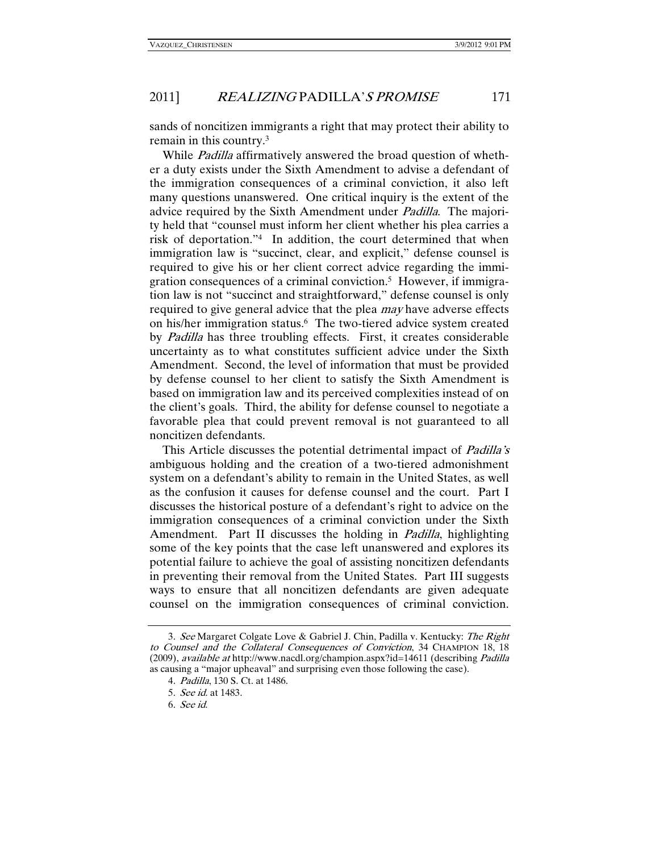sands of noncitizen immigrants a right that may protect their ability to remain in this country.3

While *Padilla* affirmatively answered the broad question of whether a duty exists under the Sixth Amendment to advise a defendant of the immigration consequences of a criminal conviction, it also left many questions unanswered. One critical inquiry is the extent of the advice required by the Sixth Amendment under Padilla. The majority held that "counsel must inform her client whether his plea carries a risk of deportation."4 In addition, the court determined that when immigration law is "succinct, clear, and explicit," defense counsel is required to give his or her client correct advice regarding the immigration consequences of a criminal conviction.5 However, if immigration law is not "succinct and straightforward," defense counsel is only required to give general advice that the plea *may* have adverse effects on his/her immigration status.<sup>6</sup> The two-tiered advice system created by Padilla has three troubling effects. First, it creates considerable uncertainty as to what constitutes sufficient advice under the Sixth Amendment. Second, the level of information that must be provided by defense counsel to her client to satisfy the Sixth Amendment is based on immigration law and its perceived complexities instead of on the client's goals. Third, the ability for defense counsel to negotiate a favorable plea that could prevent removal is not guaranteed to all noncitizen defendants.

This Article discusses the potential detrimental impact of *Padilla's* ambiguous holding and the creation of a two-tiered admonishment system on a defendant's ability to remain in the United States, as well as the confusion it causes for defense counsel and the court. Part I discusses the historical posture of a defendant's right to advice on the immigration consequences of a criminal conviction under the Sixth Amendment. Part II discusses the holding in *Padilla*, highlighting some of the key points that the case left unanswered and explores its potential failure to achieve the goal of assisting noncitizen defendants in preventing their removal from the United States. Part III suggests ways to ensure that all noncitizen defendants are given adequate counsel on the immigration consequences of criminal conviction.

<sup>3</sup>. See Margaret Colgate Love & Gabriel J. Chin, Padilla v. Kentucky: The Right to Counsel and the Collateral Consequences of Conviction, 34 CHAMPION 18, 18 (2009), available at http://www.nacdl.org/champion.aspx?id=14611 (describing Padilla as causing a "major upheaval" and surprising even those following the case).

<sup>4</sup>. Padilla, 130 S. Ct. at 1486.

<sup>5</sup>. See id. at 1483.

<sup>6</sup>. See id.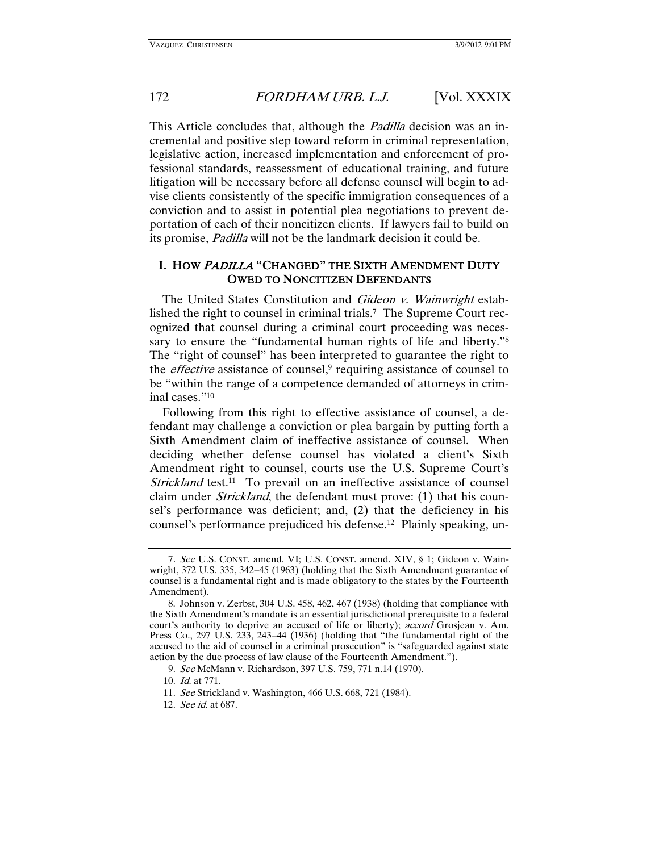This Article concludes that, although the *Padilla* decision was an incremental and positive step toward reform in criminal representation, legislative action, increased implementation and enforcement of professional standards, reassessment of educational training, and future litigation will be necessary before all defense counsel will begin to advise clients consistently of the specific immigration consequences of a conviction and to assist in potential plea negotiations to prevent deportation of each of their noncitizen clients. If lawyers fail to build on its promise, Padilla will not be the landmark decision it could be.

### I. HOW <sup>P</sup>ADILLA "CHANGED" THE SIXTH AMENDMENT DUTY OWED TO NONCITIZEN DEFENDANTS

The United States Constitution and Gideon v. Wainwright established the right to counsel in criminal trials.<sup>7</sup> The Supreme Court recognized that counsel during a criminal court proceeding was necessary to ensure the "fundamental human rights of life and liberty."<sup>8</sup> The "right of counsel" has been interpreted to guarantee the right to the *effective* assistance of counsel,<sup>9</sup> requiring assistance of counsel to be "within the range of a competence demanded of attorneys in criminal cases."10

Following from this right to effective assistance of counsel, a defendant may challenge a conviction or plea bargain by putting forth a Sixth Amendment claim of ineffective assistance of counsel. When deciding whether defense counsel has violated a client's Sixth Amendment right to counsel, courts use the U.S. Supreme Court's Strickland test.<sup>11</sup> To prevail on an ineffective assistance of counsel claim under Strickland, the defendant must prove: (1) that his counsel's performance was deficient; and, (2) that the deficiency in his counsel's performance prejudiced his defense.12 Plainly speaking, un-

<sup>7</sup>. See U.S. CONST. amend. VI; U.S. CONST. amend. XIV, § 1; Gideon v. Wainwright, 372 U.S. 335, 342–45 (1963) (holding that the Sixth Amendment guarantee of counsel is a fundamental right and is made obligatory to the states by the Fourteenth Amendment).

 <sup>8.</sup> Johnson v. Zerbst, 304 U.S. 458, 462, 467 (1938) (holding that compliance with the Sixth Amendment's mandate is an essential jurisdictional prerequisite to a federal court's authority to deprive an accused of life or liberty); *accord* Grosjean v. Am. Press Co., 297 U.S. 233, 243–44 (1936) (holding that "the fundamental right of the accused to the aid of counsel in a criminal prosecution" is "safeguarded against state action by the due process of law clause of the Fourteenth Amendment.").

<sup>9</sup>. See McMann v. Richardson, 397 U.S. 759, 771 n.14 (1970).

<sup>10</sup>. Id. at 771.

<sup>11</sup>. See Strickland v. Washington, 466 U.S. 668, 721 (1984).

<sup>12</sup>. See id. at 687.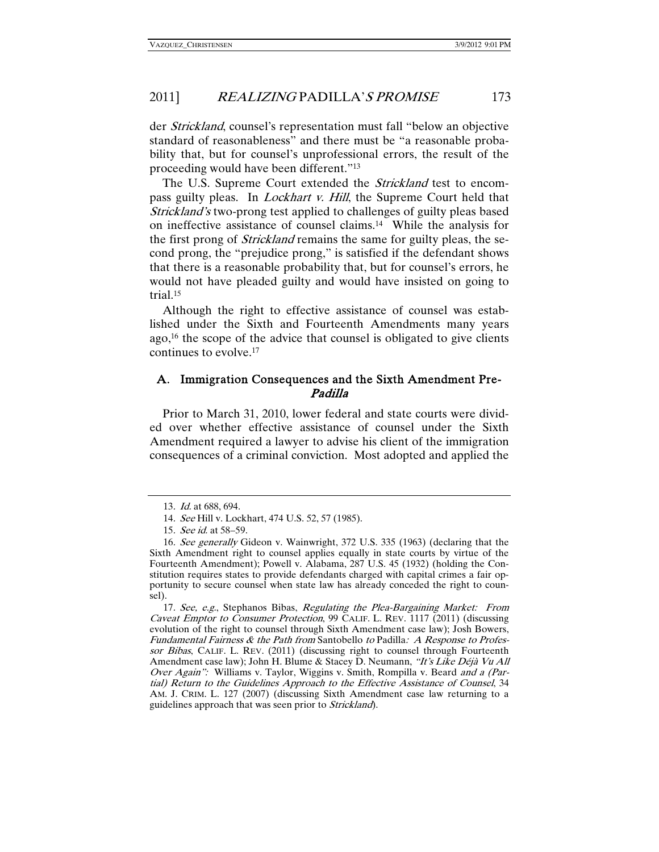der Strickland, counsel's representation must fall "below an objective standard of reasonableness" and there must be "a reasonable probability that, but for counsel's unprofessional errors, the result of the proceeding would have been different."13

The U.S. Supreme Court extended the *Strickland* test to encompass guilty pleas. In *Lockhart v. Hill*, the Supreme Court held that Strickland's two-prong test applied to challenges of guilty pleas based on ineffective assistance of counsel claims.14 While the analysis for the first prong of *Strickland* remains the same for guilty pleas, the second prong, the "prejudice prong," is satisfied if the defendant shows that there is a reasonable probability that, but for counsel's errors, he would not have pleaded guilty and would have insisted on going to trial.15

Although the right to effective assistance of counsel was established under the Sixth and Fourteenth Amendments many years ago, $16$  the scope of the advice that counsel is obligated to give clients continues to evolve.17

### A. Immigration Consequences and the Sixth Amendment Pre-Padilla

Prior to March 31, 2010, lower federal and state courts were divided over whether effective assistance of counsel under the Sixth Amendment required a lawyer to advise his client of the immigration consequences of a criminal conviction. Most adopted and applied the

<sup>13</sup>. Id. at 688, 694.

<sup>14</sup>. See Hill v. Lockhart, 474 U.S. 52, 57 (1985).

<sup>15</sup>. See id. at 58–59.

<sup>16</sup>. See generally Gideon v. Wainwright, 372 U.S. 335 (1963) (declaring that the Sixth Amendment right to counsel applies equally in state courts by virtue of the Fourteenth Amendment); Powell v. Alabama, 287 U.S. 45 (1932) (holding the Constitution requires states to provide defendants charged with capital crimes a fair opportunity to secure counsel when state law has already conceded the right to counsel).

<sup>17</sup>. See, e.g., Stephanos Bibas, Regulating the Plea-Bargaining Market: From Caveat Emptor to Consumer Protection, 99 CALIF. L. REV. 1117 (2011) (discussing evolution of the right to counsel through Sixth Amendment case law); Josh Bowers, Fundamental Fairness & the Path from Santobello to Padilla: A Response to Professor Bibas, CALIF. L. REV. (2011) (discussing right to counsel through Fourteenth Amendment case law); John H. Blume & Stacey D. Neumann, "It's Like Déjà Vu All Over Again": Williams v. Taylor, Wiggins v. Smith, Rompilla v. Beard and a (Partial) Return to the Guidelines Approach to the Effective Assistance of Counsel, 34 AM. J. CRIM. L. 127 (2007) (discussing Sixth Amendment case law returning to a guidelines approach that was seen prior to Strickland).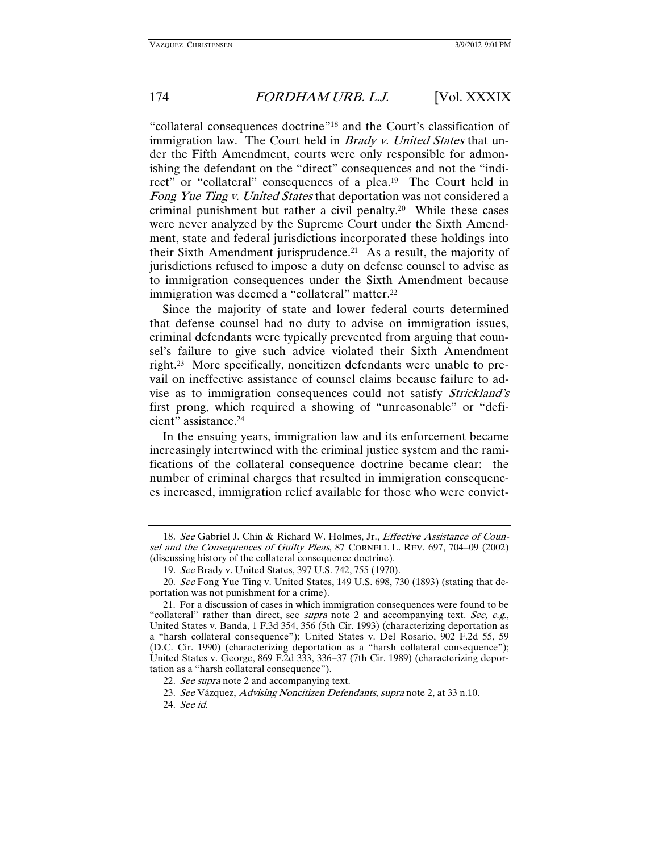"collateral consequences doctrine"18 and the Court's classification of immigration law. The Court held in *Brady v. United States* that under the Fifth Amendment, courts were only responsible for admonishing the defendant on the "direct" consequences and not the "indirect" or "collateral" consequences of a plea.<sup>19</sup> The Court held in Fong Yue Ting v. United States that deportation was not considered a criminal punishment but rather a civil penalty.20 While these cases were never analyzed by the Supreme Court under the Sixth Amendment, state and federal jurisdictions incorporated these holdings into their Sixth Amendment jurisprudence.<sup>21</sup> As a result, the majority of jurisdictions refused to impose a duty on defense counsel to advise as to immigration consequences under the Sixth Amendment because immigration was deemed a "collateral" matter.22

Since the majority of state and lower federal courts determined that defense counsel had no duty to advise on immigration issues, criminal defendants were typically prevented from arguing that counsel's failure to give such advice violated their Sixth Amendment right.23 More specifically, noncitizen defendants were unable to prevail on ineffective assistance of counsel claims because failure to advise as to immigration consequences could not satisfy Strickland's first prong, which required a showing of "unreasonable" or "deficient" assistance.24

In the ensuing years, immigration law and its enforcement became increasingly intertwined with the criminal justice system and the ramifications of the collateral consequence doctrine became clear: the number of criminal charges that resulted in immigration consequences increased, immigration relief available for those who were convict-

<sup>18.</sup> See Gabriel J. Chin & Richard W. Holmes, Jr., Effective Assistance of Counsel and the Consequences of Guilty Pleas, 87 CORNELL L. REV. 697, 704–09 (2002) (discussing history of the collateral consequence doctrine).

<sup>19</sup>. See Brady v. United States, 397 U.S. 742, 755 (1970).

<sup>20</sup>. See Fong Yue Ting v. United States, 149 U.S. 698, 730 (1893) (stating that deportation was not punishment for a crime).

 <sup>21.</sup> For a discussion of cases in which immigration consequences were found to be "collateral" rather than direct, see *supra* note 2 and accompanying text. See, e.g., United States v. Banda, 1 F.3d 354, 356 (5th Cir. 1993) (characterizing deportation as a "harsh collateral consequence"); United States v. Del Rosario, 902 F.2d 55, 59 (D.C. Cir. 1990) (characterizing deportation as a "harsh collateral consequence"); United States v. George, 869 F.2d 333, 336–37 (7th Cir. 1989) (characterizing deportation as a "harsh collateral consequence").

<sup>22.</sup> See supra note 2 and accompanying text.

<sup>23</sup>. See Vázquez, Advising Noncitizen Defendants, supra note 2, at 33 n.10.

<sup>24</sup>. See id.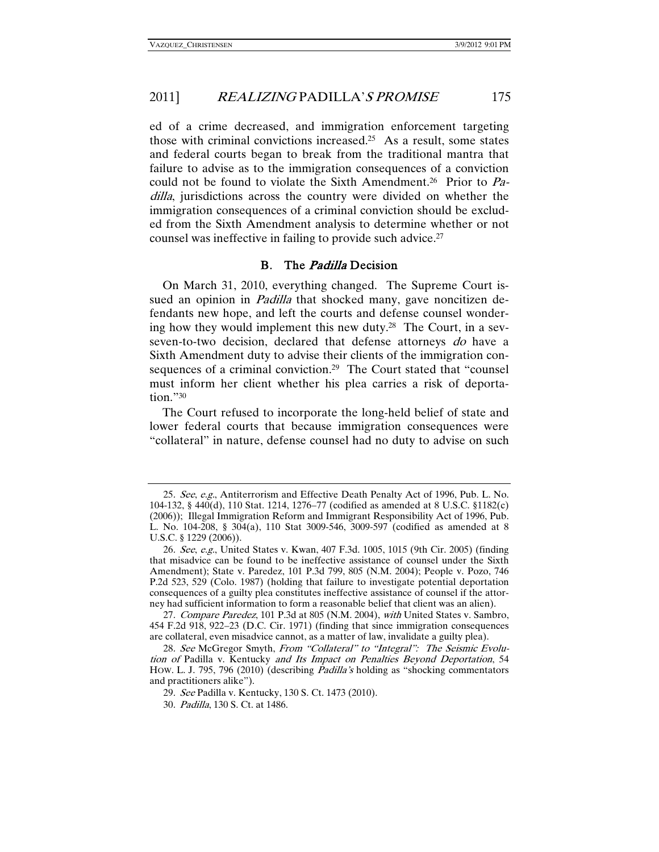ed of a crime decreased, and immigration enforcement targeting those with criminal convictions increased.25 As a result, some states and federal courts began to break from the traditional mantra that failure to advise as to the immigration consequences of a conviction could not be found to violate the Sixth Amendment.<sup>26</sup> Prior to Padilla, jurisdictions across the country were divided on whether the immigration consequences of a criminal conviction should be excluded from the Sixth Amendment analysis to determine whether or not counsel was ineffective in failing to provide such advice.27

### B. The Padilla Decision

On March 31, 2010, everything changed. The Supreme Court issued an opinion in *Padilla* that shocked many, gave noncitizen defendants new hope, and left the courts and defense counsel wondering how they would implement this new duty.28 The Court, in a sevseven-to-two decision, declared that defense attorneys do have a Sixth Amendment duty to advise their clients of the immigration consequences of a criminal conviction.<sup>29</sup> The Court stated that "counsel must inform her client whether his plea carries a risk of deportation."30

The Court refused to incorporate the long-held belief of state and lower federal courts that because immigration consequences were "collateral" in nature, defense counsel had no duty to advise on such

<sup>25</sup>. See, e.g., Antiterrorism and Effective Death Penalty Act of 1996, Pub. L. No. 104-132, § 440(d), 110 Stat. 1214, 1276–77 (codified as amended at 8 U.S.C. §1182(c) (2006)); Illegal Immigration Reform and Immigrant Responsibility Act of 1996, Pub. L. No. 104-208, § 304(a), 110 Stat 3009-546, 3009-597 (codified as amended at 8 U.S.C. § 1229 (2006)).

<sup>26</sup>. See, e.g., United States v. Kwan, 407 F.3d. 1005, 1015 (9th Cir. 2005) (finding that misadvice can be found to be ineffective assistance of counsel under the Sixth Amendment); State v. Paredez, 101 P.3d 799, 805 (N.M. 2004); People v. Pozo, 746 P.2d 523, 529 (Colo. 1987) (holding that failure to investigate potential deportation consequences of a guilty plea constitutes ineffective assistance of counsel if the attorney had sufficient information to form a reasonable belief that client was an alien).

<sup>27.</sup> Compare Paredez, 101 P.3d at 805 (N.M. 2004), with United States v. Sambro, 454 F.2d 918, 922–23 (D.C. Cir. 1971) (finding that since immigration consequences are collateral, even misadvice cannot, as a matter of law, invalidate a guilty plea).

<sup>28.</sup> See McGregor Smyth, From "Collateral" to "Integral": The Seismic Evolution of Padilla v. Kentucky and Its Impact on Penalties Beyond Deportation, 54 HOW. L. J. 795, 796 (2010) (describing Padilla's holding as "shocking commentators and practitioners alike").

<sup>29</sup>. See Padilla v. Kentucky, 130 S. Ct. 1473 (2010).

<sup>30</sup>. Padilla, 130 S. Ct. at 1486.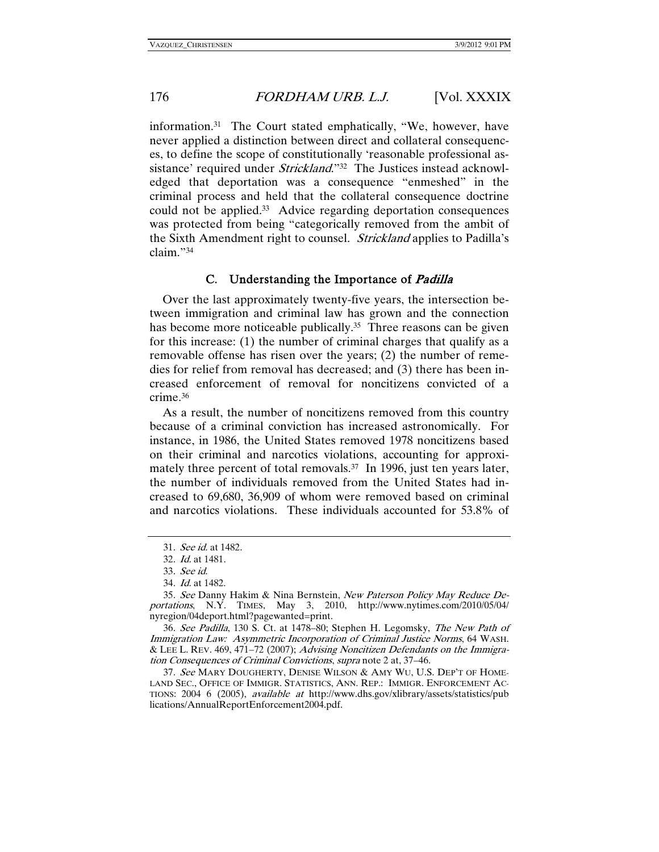information.31 The Court stated emphatically, "We, however, have never applied a distinction between direct and collateral consequences, to define the scope of constitutionally 'reasonable professional assistance' required under *Strickland*."<sup>32</sup> The Justices instead acknowledged that deportation was a consequence "enmeshed" in the criminal process and held that the collateral consequence doctrine could not be applied.33 Advice regarding deportation consequences was protected from being "categorically removed from the ambit of the Sixth Amendment right to counsel. Strickland applies to Padilla's claim."34

### C. Understanding the Importance of Padilla

Over the last approximately twenty-five years, the intersection between immigration and criminal law has grown and the connection has become more noticeable publically.<sup>35</sup> Three reasons can be given for this increase: (1) the number of criminal charges that qualify as a removable offense has risen over the years; (2) the number of remedies for relief from removal has decreased; and (3) there has been increased enforcement of removal for noncitizens convicted of a crime.36

As a result, the number of noncitizens removed from this country because of a criminal conviction has increased astronomically. For instance, in 1986, the United States removed 1978 noncitizens based on their criminal and narcotics violations, accounting for approximately three percent of total removals.<sup>37</sup> In 1996, just ten years later, the number of individuals removed from the United States had increased to 69,680, 36,909 of whom were removed based on criminal and narcotics violations. These individuals accounted for 53.8% of

37. See MARY DOUGHERTY, DENISE WILSON & AMY WU, U.S. DEP'T OF HOME-LAND SEC., OFFICE OF IMMIGR. STATISTICS, ANN. REP.: IMMIGR. ENFORCEMENT AC-TIONS: 2004 6 (2005), available at http://www.dhs.gov/xlibrary/assets/statistics/pub lications/AnnualReportEnforcement2004.pdf.

<sup>31</sup>. See id. at 1482.

<sup>32</sup>. Id. at 1481.

<sup>33</sup>. See id.

<sup>34</sup>. Id. at 1482.

<sup>35</sup>. See Danny Hakim & Nina Bernstein, New Paterson Policy May Reduce Deportations, N.Y. TIMES, May 3, 2010, http://www.nytimes.com/2010/05/04/ nyregion/04deport.html?pagewanted=print.

<sup>36</sup>. See Padilla, 130 S. Ct. at 1478–80; Stephen H. Legomsky, The New Path of Immigration Law: Asymmetric Incorporation of Criminal Justice Norms, 64 WASH. & LEE L. REV. 469, 471–72 (2007); Advising Noncitizen Defendants on the Immigration Consequences of Criminal Convictions, supra note 2 at, 37–46.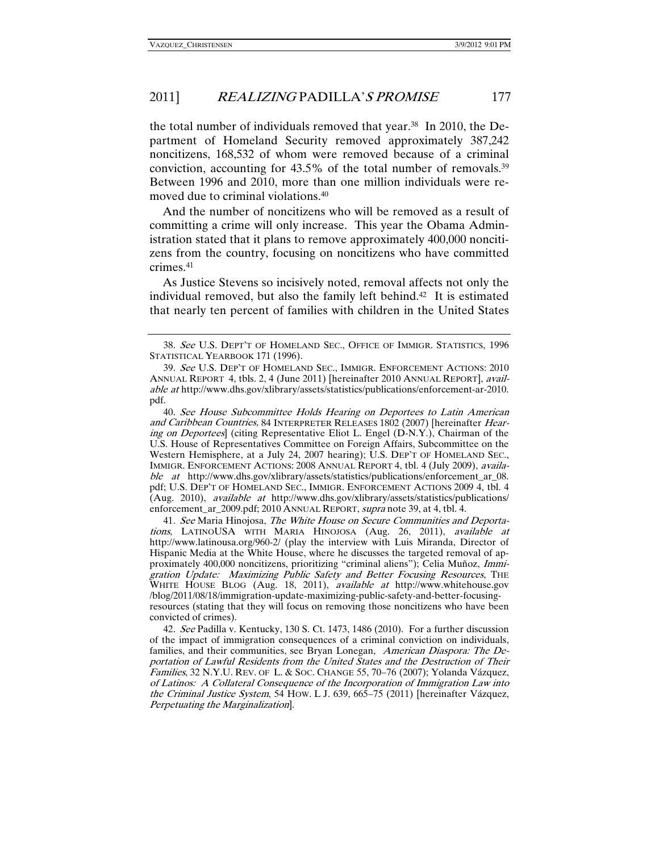the total number of individuals removed that year.38 In 2010, the Department of Homeland Security removed approximately 387,242 noncitizens, 168,532 of whom were removed because of a criminal conviction, accounting for 43.5% of the total number of removals.39 Between 1996 and 2010, more than one million individuals were removed due to criminal violations.40

And the number of noncitizens who will be removed as a result of committing a crime will only increase. This year the Obama Administration stated that it plans to remove approximately 400,000 noncitizens from the country, focusing on noncitizens who have committed crimes.41

As Justice Stevens so incisively noted, removal affects not only the individual removed, but also the family left behind.42 It is estimated that nearly ten percent of families with children in the United States

41. See Maria Hinojosa, The White House on Secure Communities and Deportations, LATINOUSA WITH MARIA HINOJOSA (Aug. 26, 2011), available at http://www.latinousa.org/960-2/ (play the interview with Luis Miranda, Director of Hispanic Media at the White House, where he discusses the targeted removal of approximately 400,000 noncitizens, prioritizing "criminal aliens"); Celia Muñoz, Immigration Update: Maximizing Public Safety and Better Focusing Resources, THE WHITE HOUSE BLOG (Aug. 18, 2011), *available at* http://www.whitehouse.gov /blog/2011/08/18/immigration-update-maximizing-public-safety-and-better-focusingresources (stating that they will focus on removing those noncitizens who have been convicted of crimes).

42. See Padilla v. Kentucky, 130 S. Ct. 1473, 1486 (2010). For a further discussion of the impact of immigration consequences of a criminal conviction on individuals, families, and their communities, see Bryan Lonegan, American Diaspora: The Deportation of Lawful Residents from the United States and the Destruction of Their Families, 32 N.Y.U. REV. OF L. & SOC. CHANGE 55, 70–76 (2007); Yolanda Vázquez, of Latinos: A Collateral Consequence of the Incorporation of Immigration Law into the Criminal Justice System, 54 HOW. L J. 639, 665–75 (2011) [hereinafter Vázquez, Perpetuating the Marginalization].

<sup>38</sup>. See U.S. DEPT'T OF HOMELAND SEC., OFFICE OF IMMIGR. STATISTICS, 1996 STATISTICAL YEARBOOK 171 (1996).

<sup>39</sup>. See U.S. DEP'T OF HOMELAND SEC., IMMIGR. ENFORCEMENT ACTIONS: 2010 ANNUAL REPORT 4, tbls. 2, 4 (June 2011) [hereinafter 2010 ANNUAL REPORT], available at http://www.dhs.gov/xlibrary/assets/statistics/publications/enforcement-ar-2010. pdf.

<sup>40</sup>. See House Subcommittee Holds Hearing on Deportees to Latin American and Caribbean Countries, 84 INTERPRETER RELEASES 1802 (2007) [hereinafter Hearing on Deportees] (citing Representative Eliot L. Engel (D-N.Y.), Chairman of the U.S. House of Representatives Committee on Foreign Affairs, Subcommittee on the Western Hemisphere, at a July 24, 2007 hearing); U.S. DEP'T OF HOMELAND SEC., IMMIGR. ENFORCEMENT ACTIONS: 2008 ANNUAL REPORT 4, tbl. 4 (July 2009), available at http://www.dhs.gov/xlibrary/assets/statistics/publications/enforcement\_ar\_08. pdf; U.S. DEP'T OF HOMELAND SEC., IMMIGR. ENFORCEMENT ACTIONS 2009 4, tbl. 4 (Aug. 2010), available at http://www.dhs.gov/xlibrary/assets/statistics/publications/ enforcement\_ar\_2009.pdf; 2010 ANNUAL REPORT, supra note 39, at 4, tbl. 4.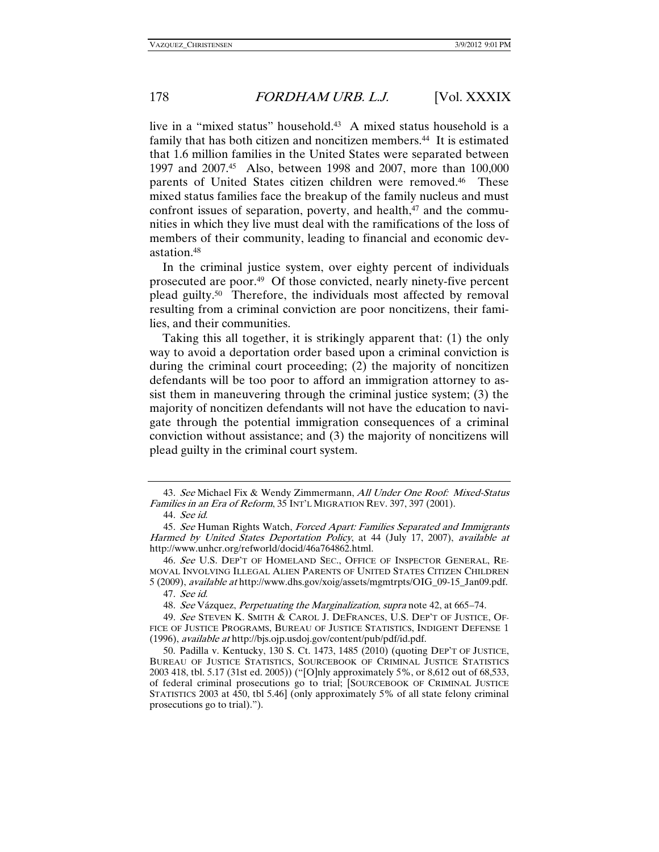live in a "mixed status" household.43 A mixed status household is a family that has both citizen and noncitizen members.<sup>44</sup> It is estimated that 1.6 million families in the United States were separated between 1997 and 2007.45 Also, between 1998 and 2007, more than 100,000 parents of United States citizen children were removed.<sup>46</sup> These mixed status families face the breakup of the family nucleus and must confront issues of separation, poverty, and health, $47$  and the communities in which they live must deal with the ramifications of the loss of members of their community, leading to financial and economic devastation.48

In the criminal justice system, over eighty percent of individuals prosecuted are poor.49 Of those convicted, nearly ninety-five percent plead guilty.50 Therefore, the individuals most affected by removal resulting from a criminal conviction are poor noncitizens, their families, and their communities.

Taking this all together, it is strikingly apparent that: (1) the only way to avoid a deportation order based upon a criminal conviction is during the criminal court proceeding; (2) the majority of noncitizen defendants will be too poor to afford an immigration attorney to assist them in maneuvering through the criminal justice system; (3) the majority of noncitizen defendants will not have the education to navigate through the potential immigration consequences of a criminal conviction without assistance; and (3) the majority of noncitizens will plead guilty in the criminal court system.

<sup>43</sup>. See Michael Fix & Wendy Zimmermann, All Under One Roof: Mixed-Status Families in an Era of Reform, 35 INT'L MIGRATION REV. 397, 397 (2001).

<sup>44</sup>. See id.

<sup>45.</sup> See Human Rights Watch, Forced Apart: Families Separated and Immigrants Harmed by United States Deportation Policy, at 44 (July 17, 2007), available at http://www.unhcr.org/refworld/docid/46a764862.html.

<sup>46.</sup> See U.S. DEP'T OF HOMELAND SEC., OFFICE OF INSPECTOR GENERAL, RE-MOVAL INVOLVING ILLEGAL ALIEN PARENTS OF UNITED STATES CITIZEN CHILDREN 5 (2009), available at http://www.dhs.gov/xoig/assets/mgmtrpts/OIG\_09-15\_Jan09.pdf.

<sup>47</sup>. See id.

<sup>48</sup>. See Vázquez, Perpetuating the Marginalization, supra note 42, at 665–74.

<sup>49</sup>. See STEVEN K. SMITH & CAROL J. DEFRANCES, U.S. DEP'T OF JUSTICE, OF-FICE OF JUSTICE PROGRAMS, BUREAU OF JUSTICE STATISTICS, INDIGENT DEFENSE 1 (1996), available at http://bjs.ojp.usdoj.gov/content/pub/pdf/id.pdf.

 <sup>50.</sup> Padilla v. Kentucky, 130 S. Ct. 1473, 1485 (2010) (quoting DEP'T OF JUSTICE, BUREAU OF JUSTICE STATISTICS, SOURCEBOOK OF CRIMINAL JUSTICE STATISTICS 2003 418, tbl. 5.17 (31st ed. 2005)) ("[O]nly approximately 5%, or 8,612 out of 68,533, of federal criminal prosecutions go to trial; [SOURCEBOOK OF CRIMINAL JUSTICE STATISTICS 2003 at 450, tbl 5.46] (only approximately 5% of all state felony criminal prosecutions go to trial).").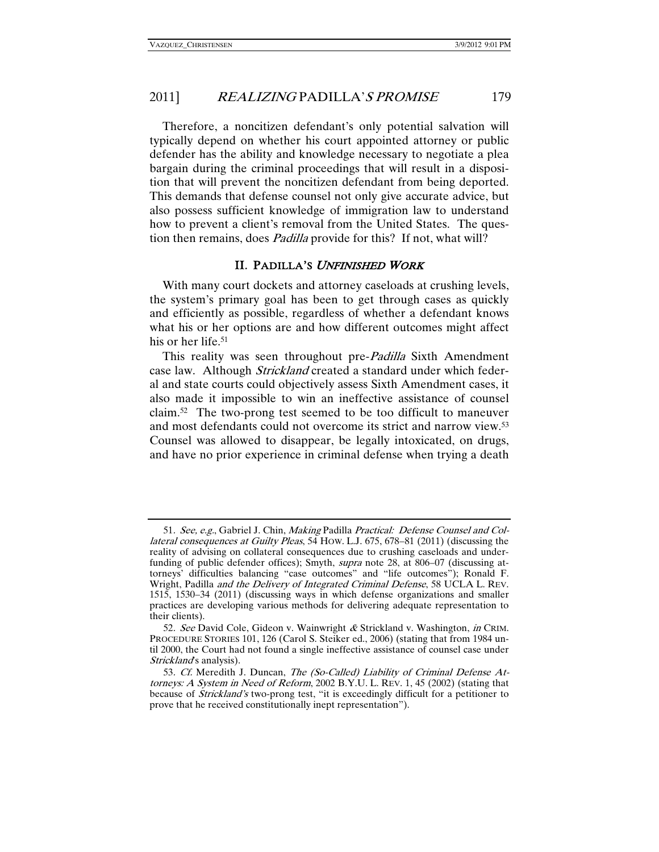Therefore, a noncitizen defendant's only potential salvation will typically depend on whether his court appointed attorney or public defender has the ability and knowledge necessary to negotiate a plea bargain during the criminal proceedings that will result in a disposition that will prevent the noncitizen defendant from being deported. This demands that defense counsel not only give accurate advice, but also possess sufficient knowledge of immigration law to understand how to prevent a client's removal from the United States. The question then remains, does Padilla provide for this? If not, what will?

### II. PADILLA'S UNFINISHED WORK

With many court dockets and attorney caseloads at crushing levels, the system's primary goal has been to get through cases as quickly and efficiently as possible, regardless of whether a defendant knows what his or her options are and how different outcomes might affect his or her life.<sup>51</sup>

This reality was seen throughout pre-*Padilla* Sixth Amendment case law. Although *Strickland* created a standard under which federal and state courts could objectively assess Sixth Amendment cases, it also made it impossible to win an ineffective assistance of counsel claim.52 The two-prong test seemed to be too difficult to maneuver and most defendants could not overcome its strict and narrow view.53 Counsel was allowed to disappear, be legally intoxicated, on drugs, and have no prior experience in criminal defense when trying a death

<sup>51</sup>. See, e.g., Gabriel J. Chin, Making Padilla Practical: Defense Counsel and Collateral consequences at Guilty Pleas, 54 HOW. L.J. 675, 678–81 (2011) (discussing the reality of advising on collateral consequences due to crushing caseloads and underfunding of public defender offices); Smyth, supra note 28, at 806-07 (discussing attorneys' difficulties balancing "case outcomes" and "life outcomes"); Ronald F. Wright, Padilla and the Delivery of Integrated Criminal Defense, 58 UCLA L. REV. 1515, 1530–34 (2011) (discussing ways in which defense organizations and smaller practices are developing various methods for delivering adequate representation to their clients).

<sup>52.</sup> See David Cole, Gideon v. Wainwright  $\&$  Strickland v. Washington, in CRIM. PROCEDURE STORIES 101, 126 (Carol S. Steiker ed., 2006) (stating that from 1984 until 2000, the Court had not found a single ineffective assistance of counsel case under Strickland's analysis).

<sup>53</sup>. Cf. Meredith J. Duncan, The (So-Called) Liability of Criminal Defense Attorneys: A System in Need of Reform, 2002 B.Y.U. L. REV. 1, 45 (2002) (stating that because of Strickland's two-prong test, "it is exceedingly difficult for a petitioner to prove that he received constitutionally inept representation").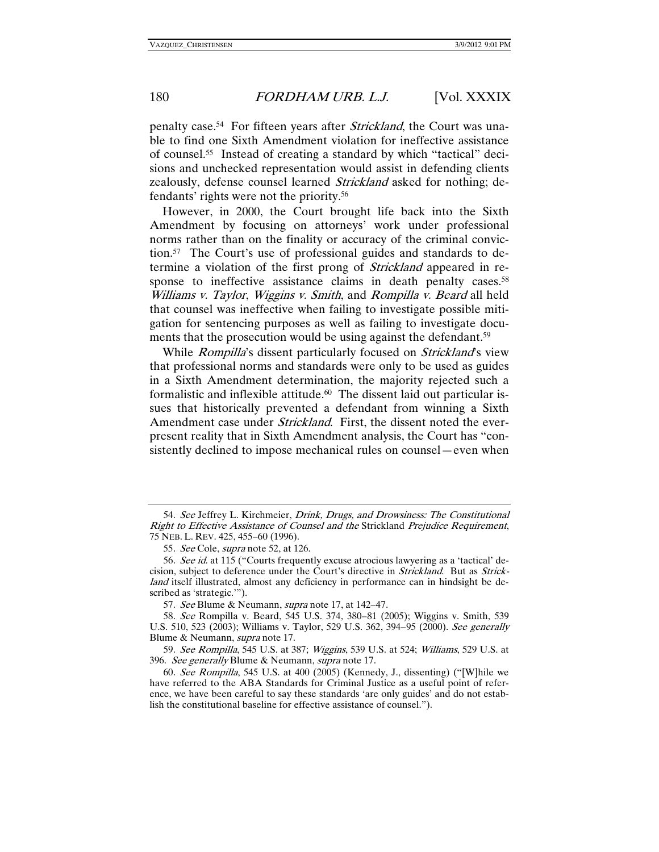penalty case.<sup>54</sup> For fifteen years after *Strickland*, the Court was unable to find one Sixth Amendment violation for ineffective assistance of counsel.55 Instead of creating a standard by which "tactical" decisions and unchecked representation would assist in defending clients zealously, defense counsel learned Strickland asked for nothing; defendants' rights were not the priority.56

However, in 2000, the Court brought life back into the Sixth Amendment by focusing on attorneys' work under professional norms rather than on the finality or accuracy of the criminal conviction.57 The Court's use of professional guides and standards to determine a violation of the first prong of Strickland appeared in response to ineffective assistance claims in death penalty cases.<sup>58</sup> Williams v. Taylor, Wiggins v. Smith, and Rompilla v. Beard all held that counsel was ineffective when failing to investigate possible mitigation for sentencing purposes as well as failing to investigate documents that the prosecution would be using against the defendant.<sup>59</sup>

While *Rompilla's* dissent particularly focused on *Strickland's* view that professional norms and standards were only to be used as guides in a Sixth Amendment determination, the majority rejected such a formalistic and inflexible attitude.<sup>60</sup> The dissent laid out particular issues that historically prevented a defendant from winning a Sixth Amendment case under *Strickland*. First, the dissent noted the everpresent reality that in Sixth Amendment analysis, the Court has "consistently declined to impose mechanical rules on counsel—even when

<sup>54.</sup> See Jeffrey L. Kirchmeier, Drink, Drugs, and Drowsiness: The Constitutional Right to Effective Assistance of Counsel and the Strickland Prejudice Requirement, 75 NEB. L. REV. 425, 455–60 (1996).

<sup>55.</sup> See Cole, supra note 52, at 126.

<sup>56.</sup> See id. at 115 ("Courts frequently excuse atrocious lawyering as a 'tactical' decision, subject to deference under the Court's directive in *Strickland*. But as *Strick*land itself illustrated, almost any deficiency in performance can in hindsight be described as 'strategic.'").

<sup>57</sup>. See Blume & Neumann, supra note 17, at 142–47.

<sup>58</sup>. See Rompilla v. Beard, 545 U.S. 374, 380–81 (2005); Wiggins v. Smith, 539 U.S. 510, 523 (2003); Williams v. Taylor, 529 U.S. 362, 394–95 (2000). See generally Blume & Neumann, *supra* note 17.

<sup>59</sup>. See Rompilla, 545 U.S. at 387; Wiggins, 539 U.S. at 524; Williams, 529 U.S. at 396. See generally Blume & Neumann, supra note 17.

<sup>60</sup>. See Rompilla, 545 U.S. at 400 (2005) (Kennedy, J., dissenting) ("[W]hile we have referred to the ABA Standards for Criminal Justice as a useful point of reference, we have been careful to say these standards 'are only guides' and do not establish the constitutional baseline for effective assistance of counsel.").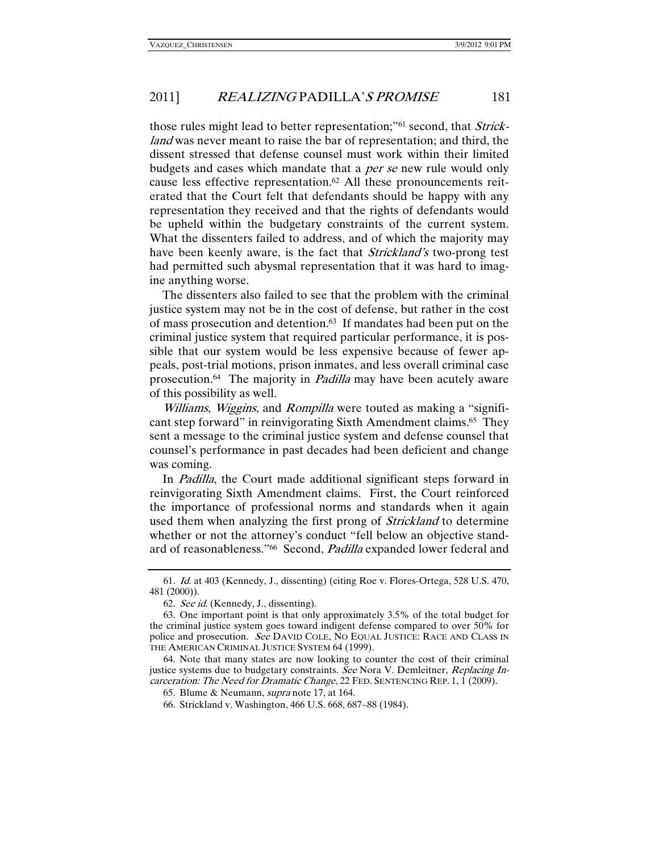those rules might lead to better representation;"61 second, that Strickland was never meant to raise the bar of representation; and third, the dissent stressed that defense counsel must work within their limited budgets and cases which mandate that a per se new rule would only cause less effective representation.<sup>62</sup> All these pronouncements reiterated that the Court felt that defendants should be happy with any representation they received and that the rights of defendants would be upheld within the budgetary constraints of the current system. What the dissenters failed to address, and of which the majority may have been keenly aware, is the fact that *Strickland's* two-prong test had permitted such abysmal representation that it was hard to imagine anything worse.

The dissenters also failed to see that the problem with the criminal justice system may not be in the cost of defense, but rather in the cost of mass prosecution and detention.63 If mandates had been put on the criminal justice system that required particular performance, it is possible that our system would be less expensive because of fewer appeals, post-trial motions, prison inmates, and less overall criminal case prosecution.<sup>64</sup> The majority in *Padilla* may have been acutely aware of this possibility as well.

Williams, Wiggins, and Rompilla were touted as making a "significant step forward" in reinvigorating Sixth Amendment claims.65 They sent a message to the criminal justice system and defense counsel that counsel's performance in past decades had been deficient and change was coming.

In Padilla, the Court made additional significant steps forward in reinvigorating Sixth Amendment claims. First, the Court reinforced the importance of professional norms and standards when it again used them when analyzing the first prong of *Strickland* to determine whether or not the attorney's conduct "fell below an objective standard of reasonableness."<sup>66</sup> Second, Padilla expanded lower federal and

<sup>61</sup>. Id. at 403 (Kennedy, J., dissenting) (citing Roe v. Flores-Ortega, 528 U.S. 470, 481 (2000)).

<sup>62</sup>. See id. (Kennedy, J., dissenting).

 <sup>63.</sup> One important point is that only approximately 3.5% of the total budget for the criminal justice system goes toward indigent defense compared to over 50% for police and prosecution. See DAVID COLE, NO EQUAL JUSTICE: RACE AND CLASS IN THE AMERICAN CRIMINAL JUSTICE SYSTEM 64 (1999).

 <sup>64.</sup> Note that many states are now looking to counter the cost of their criminal justice systems due to budgetary constraints. See Nora V. Demleitner, Replacing Incarceration: The Need for Dramatic Change, 22 FED. SENTENCING REP. 1, 1 (2009).

 <sup>65.</sup> Blume & Neumann, supra note 17, at 164.

 <sup>66.</sup> Strickland v. Washington, 466 U.S. 668, 687–88 (1984).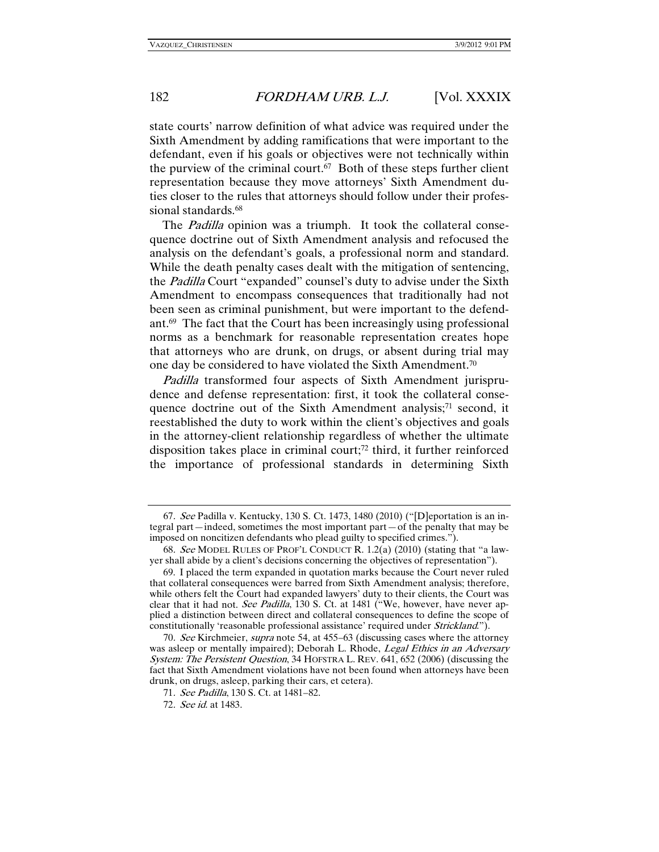state courts' narrow definition of what advice was required under the Sixth Amendment by adding ramifications that were important to the defendant, even if his goals or objectives were not technically within the purview of the criminal court.<sup>67</sup> Both of these steps further client representation because they move attorneys' Sixth Amendment duties closer to the rules that attorneys should follow under their professional standards.<sup>68</sup>

The *Padilla* opinion was a triumph. It took the collateral consequence doctrine out of Sixth Amendment analysis and refocused the analysis on the defendant's goals, a professional norm and standard. While the death penalty cases dealt with the mitigation of sentencing, the Padilla Court "expanded" counsel's duty to advise under the Sixth Amendment to encompass consequences that traditionally had not been seen as criminal punishment, but were important to the defendant.69 The fact that the Court has been increasingly using professional norms as a benchmark for reasonable representation creates hope that attorneys who are drunk, on drugs, or absent during trial may one day be considered to have violated the Sixth Amendment.70

Padilla transformed four aspects of Sixth Amendment jurisprudence and defense representation: first, it took the collateral consequence doctrine out of the Sixth Amendment analysis;<sup>71</sup> second, it reestablished the duty to work within the client's objectives and goals in the attorney-client relationship regardless of whether the ultimate disposition takes place in criminal court;72 third, it further reinforced the importance of professional standards in determining Sixth

<sup>67</sup>. See Padilla v. Kentucky, 130 S. Ct. 1473, 1480 (2010) ("[D]eportation is an integral part—indeed, sometimes the most important part—of the penalty that may be imposed on noncitizen defendants who plead guilty to specified crimes.").

<sup>68</sup>. See MODEL RULES OF PROF'L CONDUCT R. 1.2(a) (2010) (stating that "a lawyer shall abide by a client's decisions concerning the objectives of representation").

 <sup>69.</sup> I placed the term expanded in quotation marks because the Court never ruled that collateral consequences were barred from Sixth Amendment analysis; therefore, while others felt the Court had expanded lawyers' duty to their clients, the Court was clear that it had not. See Padilla, 130 S. Ct. at 1481 ("We, however, have never applied a distinction between direct and collateral consequences to define the scope of constitutionally 'reasonable professional assistance' required under Strickland.").

<sup>70.</sup> See Kirchmeier, supra note 54, at 455–63 (discussing cases where the attorney was asleep or mentally impaired); Deborah L. Rhode, Legal Ethics in an Adversary System: The Persistent Question, 34 HOFSTRA L. REV. 641, 652 (2006) (discussing the fact that Sixth Amendment violations have not been found when attorneys have been drunk, on drugs, asleep, parking their cars, et cetera).

<sup>71</sup>. See Padilla, 130 S. Ct. at 1481–82.

<sup>72</sup>. See id. at 1483.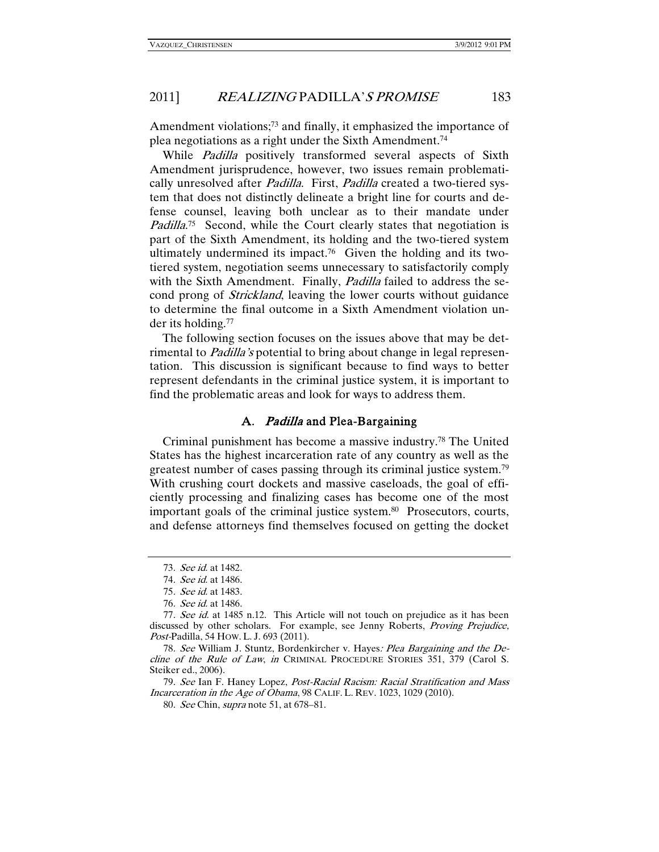Amendment violations;<sup>73</sup> and finally, it emphasized the importance of plea negotiations as a right under the Sixth Amendment.74

While *Padilla* positively transformed several aspects of Sixth Amendment jurisprudence, however, two issues remain problematically unresolved after *Padilla*. First, *Padilla* created a two-tiered system that does not distinctly delineate a bright line for courts and defense counsel, leaving both unclear as to their mandate under Padilla<sup>75</sup> Second, while the Court clearly states that negotiation is part of the Sixth Amendment, its holding and the two-tiered system ultimately undermined its impact.76 Given the holding and its twotiered system, negotiation seems unnecessary to satisfactorily comply with the Sixth Amendment. Finally, *Padilla* failed to address the second prong of Strickland, leaving the lower courts without guidance to determine the final outcome in a Sixth Amendment violation under its holding.77

The following section focuses on the issues above that may be detrimental to *Padilla's* potential to bring about change in legal representation. This discussion is significant because to find ways to better represent defendants in the criminal justice system, it is important to find the problematic areas and look for ways to address them.

### A. Padilla and Plea-Bargaining

Criminal punishment has become a massive industry.78 The United States has the highest incarceration rate of any country as well as the greatest number of cases passing through its criminal justice system.79 With crushing court dockets and massive caseloads, the goal of efficiently processing and finalizing cases has become one of the most important goals of the criminal justice system.80 Prosecutors, courts, and defense attorneys find themselves focused on getting the docket

79. See Ian F. Haney Lopez, Post-Racial Racism: Racial Stratification and Mass Incarceration in the Age of Obama, 98 CALIF. L. REV. 1023, 1029 (2010).

80. See Chin, supra note 51, at 678–81.

<sup>73</sup>. See id. at 1482.

<sup>74</sup>. See id. at 1486.

<sup>75</sup>. See id. at 1483.

<sup>76</sup>. See id. at 1486.

<sup>77.</sup> See id. at 1485 n.12. This Article will not touch on prejudice as it has been discussed by other scholars. For example, see Jenny Roberts, Proving Prejudice, Post-Padilla, 54 HOW. L. J. 693 (2011).

<sup>78.</sup> See William J. Stuntz, Bordenkircher v. Hayes: Plea Bargaining and the Decline of the Rule of Law, in CRIMINAL PROCEDURE STORIES 351, 379 (Carol S. Steiker ed., 2006).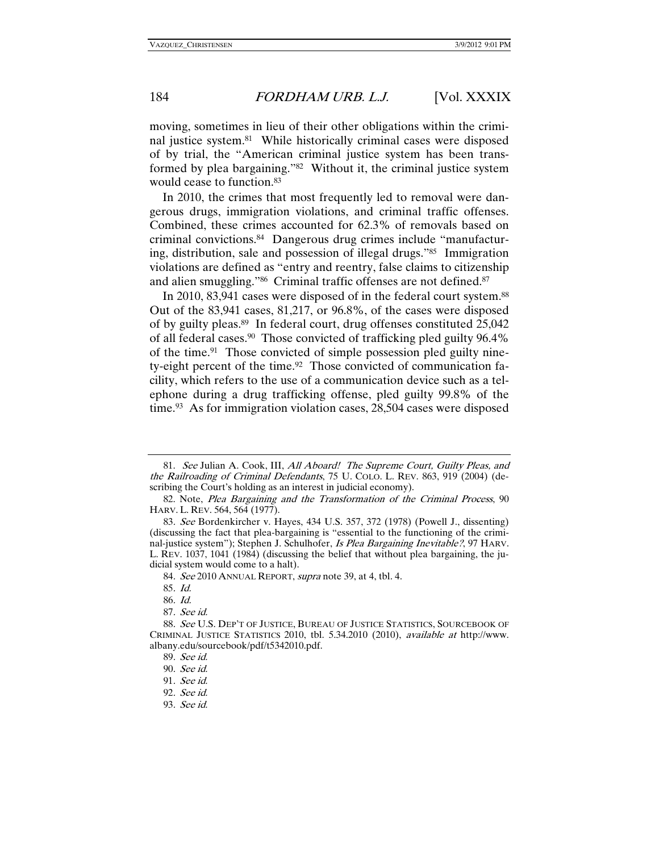moving, sometimes in lieu of their other obligations within the criminal justice system.81 While historically criminal cases were disposed of by trial, the "American criminal justice system has been transformed by plea bargaining."82 Without it, the criminal justice system would cease to function.83

In 2010, the crimes that most frequently led to removal were dangerous drugs, immigration violations, and criminal traffic offenses. Combined, these crimes accounted for 62.3% of removals based on criminal convictions.84 Dangerous drug crimes include "manufacturing, distribution, sale and possession of illegal drugs."85 Immigration violations are defined as "entry and reentry, false claims to citizenship and alien smuggling."<sup>86</sup> Criminal traffic offenses are not defined.<sup>87</sup>

In 2010, 83,941 cases were disposed of in the federal court system.<sup>88</sup> Out of the 83,941 cases, 81,217, or 96.8%, of the cases were disposed of by guilty pleas.89 In federal court, drug offenses constituted 25,042 of all federal cases.90 Those convicted of trafficking pled guilty 96.4% of the time.91 Those convicted of simple possession pled guilty ninety-eight percent of the time.92 Those convicted of communication facility, which refers to the use of a communication device such as a telephone during a drug trafficking offense, pled guilty 99.8% of the time.<sup>93</sup> As for immigration violation cases, 28,504 cases were disposed

 <sup>81.</sup> See Julian A. Cook, III, All Aboard! The Supreme Court, Guilty Pleas, and the Railroading of Criminal Defendants, 75 U. COLO. L. REV. 863, 919 (2004) (describing the Court's holding as an interest in judicial economy).

 <sup>82.</sup> Note, Plea Bargaining and the Transformation of the Criminal Process, 90 HARV. L. REV. 564, 564 (1977).

<sup>83</sup>. See Bordenkircher v. Hayes, 434 U.S. 357, 372 (1978) (Powell J., dissenting) (discussing the fact that plea-bargaining is "essential to the functioning of the criminal-justice system"); Stephen J. Schulhofer, Is Plea Bargaining Inevitable?, 97 HARV. L. REV. 1037, 1041 (1984) (discussing the belief that without plea bargaining, the judicial system would come to a halt).

<sup>84.</sup> See 2010 ANNUAL REPORT, supra note 39, at 4, tbl. 4.

<sup>85</sup>. Id.

<sup>86</sup>. Id.

<sup>87</sup>. See id.

<sup>88</sup>. See U.S. DEP'T OF JUSTICE, BUREAU OF JUSTICE STATISTICS, SOURCEBOOK OF CRIMINAL JUSTICE STATISTICS 2010, tbl. 5.34.2010 (2010), available at http://www. albany.edu/sourcebook/pdf/t5342010.pdf.

<sup>89</sup>. See id.

<sup>90</sup>. See id.

<sup>91</sup>. See id.

<sup>92</sup>. See id.

<sup>93</sup>. See id.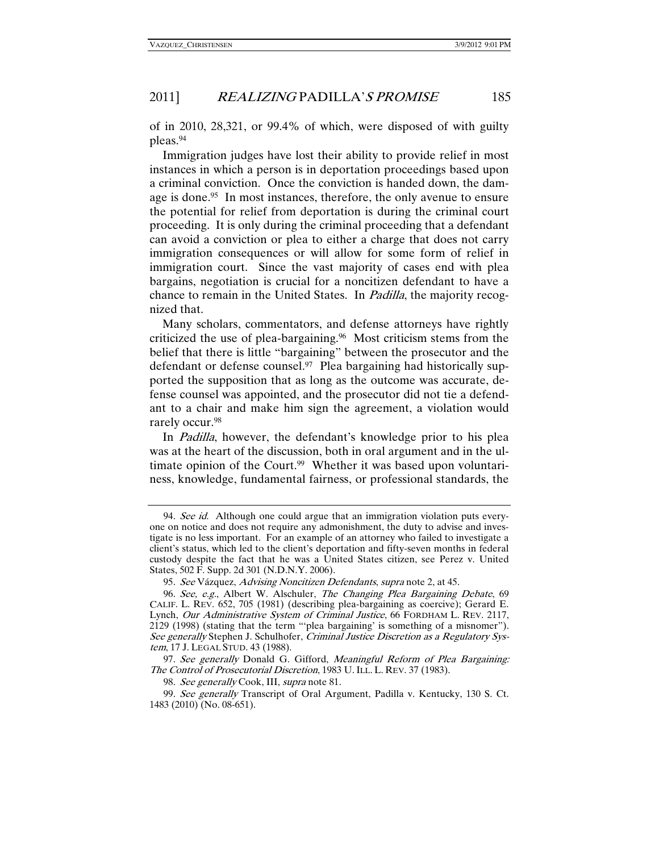of in 2010, 28,321, or 99.4% of which, were disposed of with guilty pleas.94

Immigration judges have lost their ability to provide relief in most instances in which a person is in deportation proceedings based upon a criminal conviction. Once the conviction is handed down, the damage is done.<sup>95</sup> In most instances, therefore, the only avenue to ensure the potential for relief from deportation is during the criminal court proceeding. It is only during the criminal proceeding that a defendant can avoid a conviction or plea to either a charge that does not carry immigration consequences or will allow for some form of relief in immigration court. Since the vast majority of cases end with plea bargains, negotiation is crucial for a noncitizen defendant to have a chance to remain in the United States. In Padilla, the majority recognized that.

Many scholars, commentators, and defense attorneys have rightly criticized the use of plea-bargaining.96 Most criticism stems from the belief that there is little "bargaining" between the prosecutor and the defendant or defense counsel. $97$  Plea bargaining had historically supported the supposition that as long as the outcome was accurate, defense counsel was appointed, and the prosecutor did not tie a defendant to a chair and make him sign the agreement, a violation would rarely occur.98

In Padilla, however, the defendant's knowledge prior to his plea was at the heart of the discussion, both in oral argument and in the ultimate opinion of the Court.<sup>99</sup> Whether it was based upon voluntariness, knowledge, fundamental fairness, or professional standards, the

<sup>94.</sup> See id. Although one could argue that an immigration violation puts everyone on notice and does not require any admonishment, the duty to advise and investigate is no less important. For an example of an attorney who failed to investigate a client's status, which led to the client's deportation and fifty-seven months in federal custody despite the fact that he was a United States citizen, see Perez v. United States, 502 F. Supp. 2d 301 (N.D.N.Y. 2006).

<sup>95</sup>. See Vázquez, Advising Noncitizen Defendants, supra note 2, at 45.

<sup>96</sup>. See, e.g., Albert W. Alschuler, The Changing Plea Bargaining Debate, 69 CALIF. L. REV. 652, 705 (1981) (describing plea-bargaining as coercive); Gerard E. Lynch, Our Administrative System of Criminal Justice, 66 FORDHAM L. REV. 2117, 2129 (1998) (stating that the term "'plea bargaining' is something of a misnomer"). See generally Stephen J. Schulhofer, Criminal Justice Discretion as a Regulatory System, 17 J. LEGAL STUD. 43 (1988).

<sup>97.</sup> See generally Donald G. Gifford, Meaningful Reform of Plea Bargaining: The Control of Prosecutorial Discretion, 1983 U.ILL. L. REV. 37 (1983).

<sup>98.</sup> See generally Cook, III, supra note 81.

<sup>99</sup>. See generally Transcript of Oral Argument, Padilla v. Kentucky, 130 S. Ct. 1483 (2010) (No. 08-651).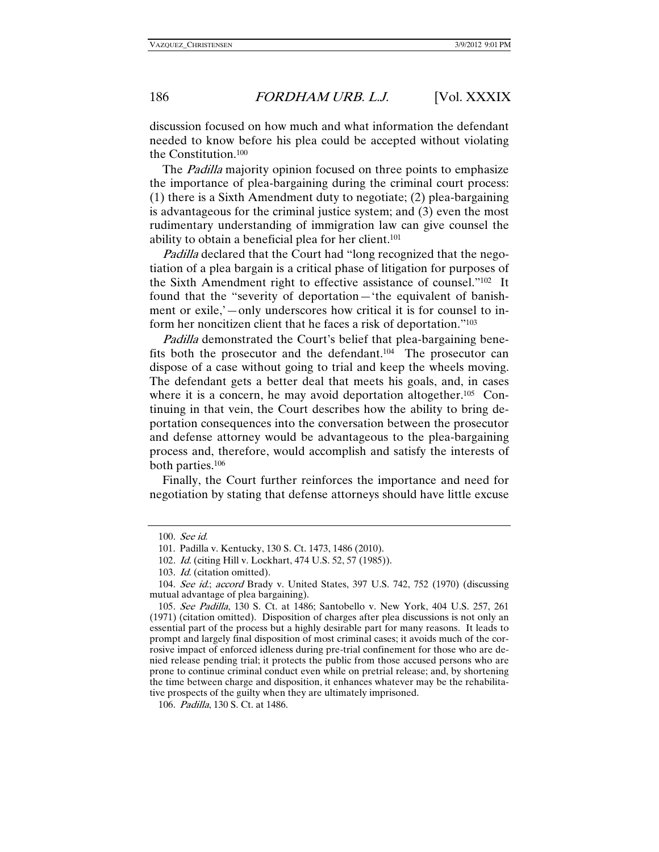discussion focused on how much and what information the defendant needed to know before his plea could be accepted without violating the Constitution.100

The *Padilla* majority opinion focused on three points to emphasize the importance of plea-bargaining during the criminal court process: (1) there is a Sixth Amendment duty to negotiate; (2) plea-bargaining is advantageous for the criminal justice system; and (3) even the most rudimentary understanding of immigration law can give counsel the ability to obtain a beneficial plea for her client.101

Padilla declared that the Court had "long recognized that the negotiation of a plea bargain is a critical phase of litigation for purposes of the Sixth Amendment right to effective assistance of counsel."102 It found that the "severity of deportation—'the equivalent of banishment or exile,'—only underscores how critical it is for counsel to inform her noncitizen client that he faces a risk of deportation."103

Padilla demonstrated the Court's belief that plea-bargaining benefits both the prosecutor and the defendant.104 The prosecutor can dispose of a case without going to trial and keep the wheels moving. The defendant gets a better deal that meets his goals, and, in cases where it is a concern, he may avoid deportation altogether.<sup>105</sup> Continuing in that vein, the Court describes how the ability to bring deportation consequences into the conversation between the prosecutor and defense attorney would be advantageous to the plea-bargaining process and, therefore, would accomplish and satisfy the interests of both parties.106

Finally, the Court further reinforces the importance and need for negotiation by stating that defense attorneys should have little excuse

<sup>100</sup>. See id.

 <sup>101.</sup> Padilla v. Kentucky, 130 S. Ct. 1473, 1486 (2010).

<sup>102</sup>. Id. (citing Hill v. Lockhart, 474 U.S. 52, 57 (1985)).

<sup>103</sup>. Id. (citation omitted).

<sup>104</sup>. See id.; accord Brady v. United States, 397 U.S. 742, 752 (1970) (discussing mutual advantage of plea bargaining).

<sup>105</sup>. See Padilla, 130 S. Ct. at 1486; Santobello v. New York, 404 U.S. 257, 261 (1971) (citation omitted). Disposition of charges after plea discussions is not only an essential part of the process but a highly desirable part for many reasons. It leads to prompt and largely final disposition of most criminal cases; it avoids much of the corrosive impact of enforced idleness during pre-trial confinement for those who are denied release pending trial; it protects the public from those accused persons who are prone to continue criminal conduct even while on pretrial release; and, by shortening the time between charge and disposition, it enhances whatever may be the rehabilitative prospects of the guilty when they are ultimately imprisoned.

<sup>106</sup>. Padilla, 130 S. Ct. at 1486.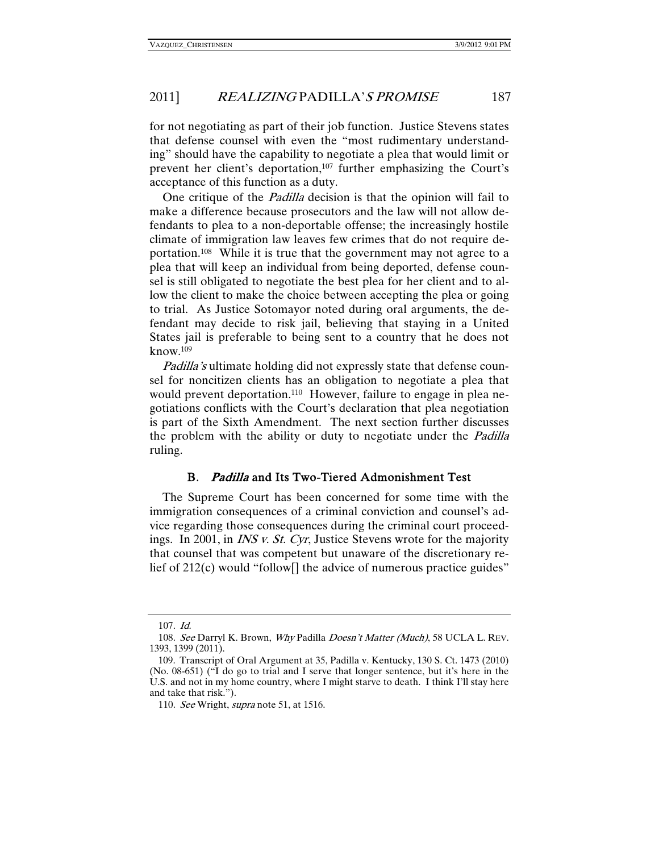for not negotiating as part of their job function. Justice Stevens states that defense counsel with even the "most rudimentary understanding" should have the capability to negotiate a plea that would limit or prevent her client's deportation,<sup>107</sup> further emphasizing the Court's acceptance of this function as a duty.

One critique of the *Padilla* decision is that the opinion will fail to make a difference because prosecutors and the law will not allow defendants to plea to a non-deportable offense; the increasingly hostile climate of immigration law leaves few crimes that do not require deportation.108 While it is true that the government may not agree to a plea that will keep an individual from being deported, defense counsel is still obligated to negotiate the best plea for her client and to allow the client to make the choice between accepting the plea or going to trial. As Justice Sotomayor noted during oral arguments, the defendant may decide to risk jail, believing that staying in a United States jail is preferable to being sent to a country that he does not know.109

Padilla's ultimate holding did not expressly state that defense counsel for noncitizen clients has an obligation to negotiate a plea that would prevent deportation.<sup>110</sup> However, failure to engage in plea negotiations conflicts with the Court's declaration that plea negotiation is part of the Sixth Amendment. The next section further discusses the problem with the ability or duty to negotiate under the *Padilla* ruling.

### B. Padilla and Its Two-Tiered Admonishment Test

The Supreme Court has been concerned for some time with the immigration consequences of a criminal conviction and counsel's advice regarding those consequences during the criminal court proceedings. In 2001, in INS v. St. Cyr, Justice Stevens wrote for the majority that counsel that was competent but unaware of the discretionary relief of 212(c) would "follow<sup>[]</sup> the advice of numerous practice guides"

<sup>107</sup>. Id.

<sup>108.</sup> See Darryl K. Brown, Why Padilla Doesn't Matter (Much), 58 UCLA L. REV. 1393, 1399 (2011).

 <sup>109.</sup> Transcript of Oral Argument at 35, Padilla v. Kentucky, 130 S. Ct. 1473 (2010) (No. 08-651) ("I do go to trial and I serve that longer sentence, but it's here in the U.S. and not in my home country, where I might starve to death. I think I'll stay here and take that risk.").

<sup>110.</sup> See Wright, supra note 51, at 1516.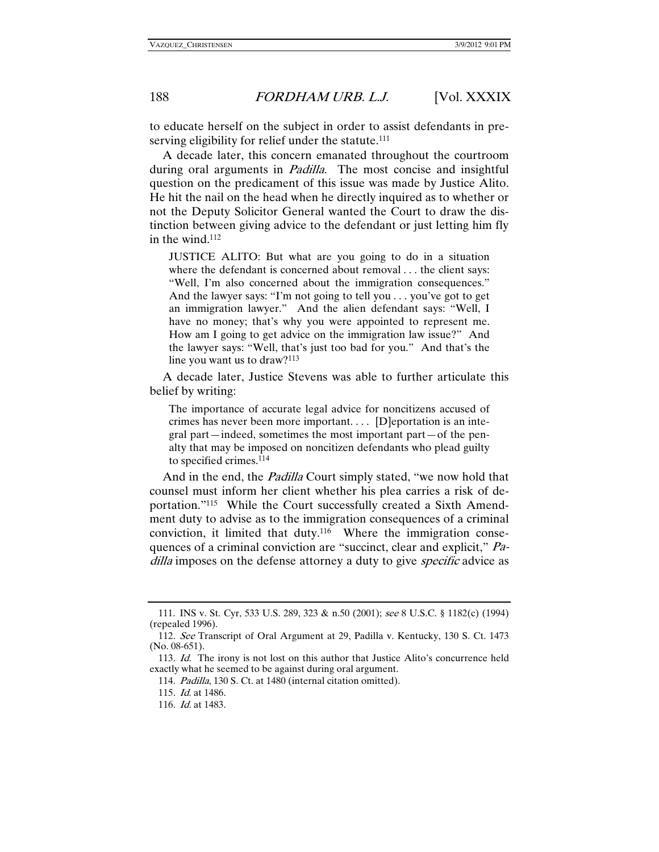to educate herself on the subject in order to assist defendants in preserving eligibility for relief under the statute.<sup>111</sup>

A decade later, this concern emanated throughout the courtroom during oral arguments in *Padilla*. The most concise and insightful question on the predicament of this issue was made by Justice Alito. He hit the nail on the head when he directly inquired as to whether or not the Deputy Solicitor General wanted the Court to draw the distinction between giving advice to the defendant or just letting him fly in the wind.112

JUSTICE ALITO: But what are you going to do in a situation where the defendant is concerned about removal . . . the client says: "Well, I'm also concerned about the immigration consequences." And the lawyer says: "I'm not going to tell you . . . you've got to get an immigration lawyer." And the alien defendant says: "Well, I have no money; that's why you were appointed to represent me. How am I going to get advice on the immigration law issue?" And the lawyer says: "Well, that's just too bad for you." And that's the line you want us to draw?113

A decade later, Justice Stevens was able to further articulate this belief by writing:

The importance of accurate legal advice for noncitizens accused of crimes has never been more important. . . . [D]eportation is an integral part—indeed, sometimes the most important part—of the penalty that may be imposed on noncitizen defendants who plead guilty to specified crimes.114

And in the end, the *Padilla* Court simply stated, "we now hold that counsel must inform her client whether his plea carries a risk of deportation."115 While the Court successfully created a Sixth Amendment duty to advise as to the immigration consequences of a criminal conviction, it limited that duty.116 Where the immigration consequences of a criminal conviction are "succinct, clear and explicit," Padilla imposes on the defense attorney a duty to give *specific* advice as

 <sup>111.</sup> INS v. St. Cyr, 533 U.S. 289, 323 & n.50 (2001); see 8 U.S.C. § 1182(c) (1994) (repealed 1996).

<sup>112</sup>. See Transcript of Oral Argument at 29, Padilla v. Kentucky, 130 S. Ct. 1473 (No. 08-651).

<sup>113</sup>. Id. The irony is not lost on this author that Justice Alito's concurrence held exactly what he seemed to be against during oral argument.

<sup>114</sup>. Padilla, 130 S. Ct. at 1480 (internal citation omitted).

<sup>115</sup>. Id. at 1486.

<sup>116</sup>. Id. at 1483.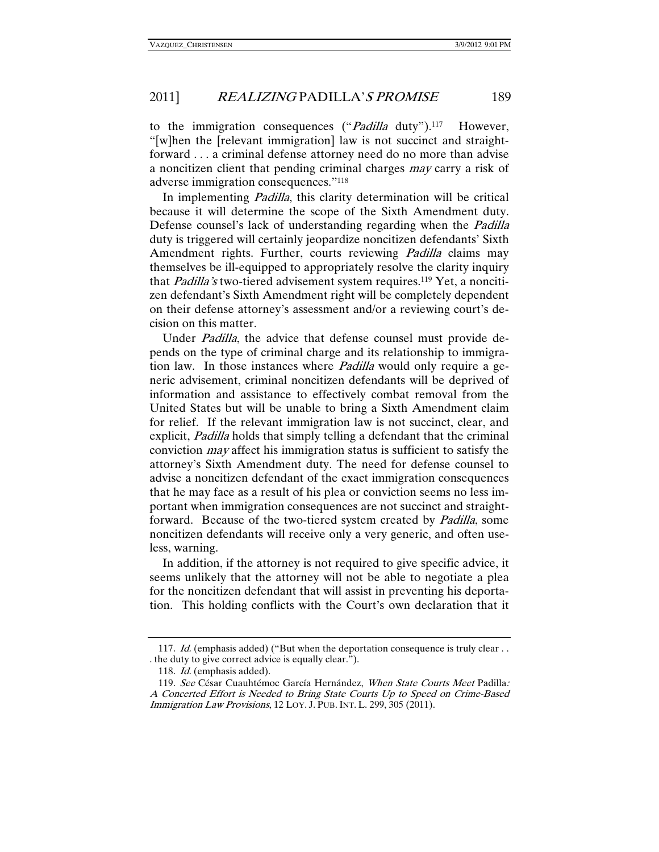to the immigration consequences ("*Padilla* duty").<sup>117</sup> However, "[w]hen the [relevant immigration] law is not succinct and straightforward . . . a criminal defense attorney need do no more than advise a noncitizen client that pending criminal charges may carry a risk of adverse immigration consequences."118

In implementing *Padilla*, this clarity determination will be critical because it will determine the scope of the Sixth Amendment duty. Defense counsel's lack of understanding regarding when the *Padilla* duty is triggered will certainly jeopardize noncitizen defendants' Sixth Amendment rights. Further, courts reviewing *Padilla* claims may themselves be ill-equipped to appropriately resolve the clarity inquiry that *Padilla's* two-tiered advisement system requires.<sup>119</sup> Yet, a noncitizen defendant's Sixth Amendment right will be completely dependent on their defense attorney's assessment and/or a reviewing court's decision on this matter.

Under Padilla, the advice that defense counsel must provide depends on the type of criminal charge and its relationship to immigration law. In those instances where Padilla would only require a generic advisement, criminal noncitizen defendants will be deprived of information and assistance to effectively combat removal from the United States but will be unable to bring a Sixth Amendment claim for relief. If the relevant immigration law is not succinct, clear, and explicit, Padilla holds that simply telling a defendant that the criminal conviction may affect his immigration status is sufficient to satisfy the attorney's Sixth Amendment duty. The need for defense counsel to advise a noncitizen defendant of the exact immigration consequences that he may face as a result of his plea or conviction seems no less important when immigration consequences are not succinct and straightforward. Because of the two-tiered system created by *Padilla*, some noncitizen defendants will receive only a very generic, and often useless, warning.

In addition, if the attorney is not required to give specific advice, it seems unlikely that the attorney will not be able to negotiate a plea for the noncitizen defendant that will assist in preventing his deportation. This holding conflicts with the Court's own declaration that it

<sup>117.</sup> Id. (emphasis added) ("But when the deportation consequence is truly clear . . . the duty to give correct advice is equally clear.").

<sup>118.</sup> *Id.* (emphasis added).

<sup>119</sup>. See César Cuauhtémoc García Hernández, When State Courts Meet Padilla: A Concerted Effort is Needed to Bring State Courts Up to Speed on Crime-Based Immigration Law Provisions, 12 LOY. J. PUB. INT. L. 299, 305 (2011).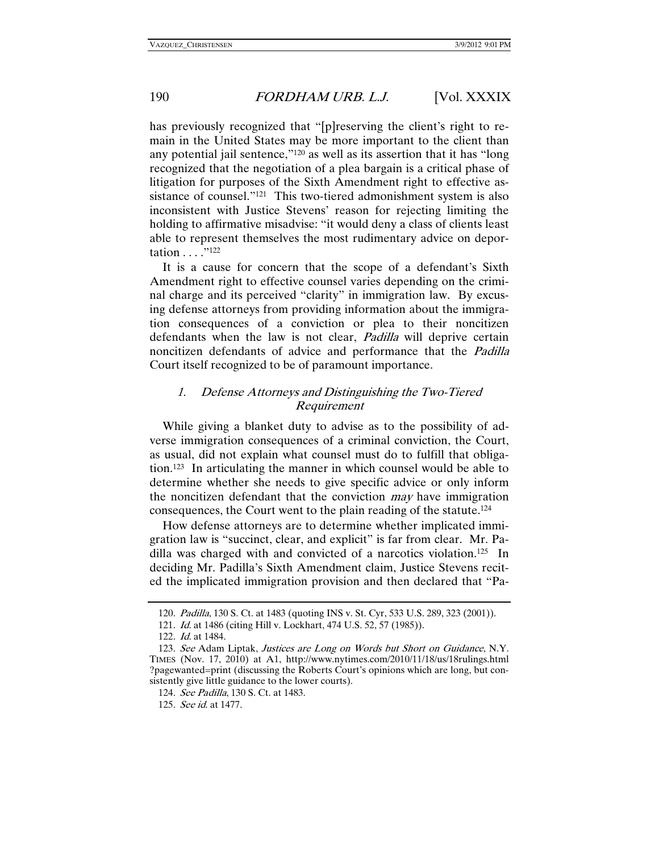has previously recognized that "[p]reserving the client's right to remain in the United States may be more important to the client than any potential jail sentence,"120 as well as its assertion that it has "long recognized that the negotiation of a plea bargain is a critical phase of litigation for purposes of the Sixth Amendment right to effective assistance of counsel."121 This two-tiered admonishment system is also inconsistent with Justice Stevens' reason for rejecting limiting the holding to affirmative misadvise: "it would deny a class of clients least able to represent themselves the most rudimentary advice on deportation . . . ."122

It is a cause for concern that the scope of a defendant's Sixth Amendment right to effective counsel varies depending on the criminal charge and its perceived "clarity" in immigration law. By excusing defense attorneys from providing information about the immigration consequences of a conviction or plea to their noncitizen defendants when the law is not clear, *Padilla* will deprive certain noncitizen defendants of advice and performance that the Padilla Court itself recognized to be of paramount importance.

### 1. Defense Attorneys and Distinguishing the Two-Tiered Requirement

While giving a blanket duty to advise as to the possibility of adverse immigration consequences of a criminal conviction, the Court, as usual, did not explain what counsel must do to fulfill that obligation.123 In articulating the manner in which counsel would be able to determine whether she needs to give specific advice or only inform the noncitizen defendant that the conviction *may* have immigration consequences, the Court went to the plain reading of the statute.124

How defense attorneys are to determine whether implicated immigration law is "succinct, clear, and explicit" is far from clear. Mr. Padilla was charged with and convicted of a narcotics violation.125 In deciding Mr. Padilla's Sixth Amendment claim, Justice Stevens recited the implicated immigration provision and then declared that "Pa-

<sup>120</sup>. Padilla, 130 S. Ct. at 1483 (quoting INS v. St. Cyr, 533 U.S. 289, 323 (2001)).

<sup>121</sup>. Id. at 1486 (citing Hill v. Lockhart, 474 U.S. 52, 57 (1985)).

<sup>122</sup>. Id. at 1484.

<sup>123.</sup> See Adam Liptak, Justices are Long on Words but Short on Guidance, N.Y. TIMES (Nov. 17, 2010) at A1, http://www.nytimes.com/2010/11/18/us/18rulings.html ?pagewanted=print (discussing the Roberts Court's opinions which are long, but consistently give little guidance to the lower courts).

<sup>124</sup>. See Padilla, 130 S. Ct. at 1483.

<sup>125</sup>. See id. at 1477.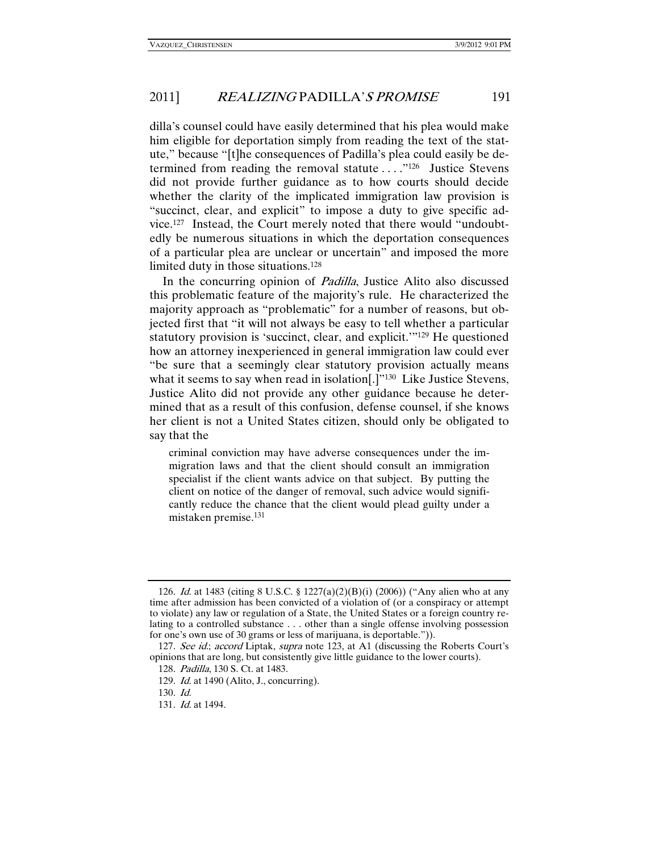dilla's counsel could have easily determined that his plea would make him eligible for deportation simply from reading the text of the statute," because "[t]he consequences of Padilla's plea could easily be determined from reading the removal statute . . . ."126 Justice Stevens did not provide further guidance as to how courts should decide whether the clarity of the implicated immigration law provision is "succinct, clear, and explicit" to impose a duty to give specific advice.127 Instead, the Court merely noted that there would "undoubtedly be numerous situations in which the deportation consequences of a particular plea are unclear or uncertain" and imposed the more limited duty in those situations.128

In the concurring opinion of Padilla, Justice Alito also discussed this problematic feature of the majority's rule. He characterized the majority approach as "problematic" for a number of reasons, but objected first that "it will not always be easy to tell whether a particular statutory provision is 'succinct, clear, and explicit.'"129 He questioned how an attorney inexperienced in general immigration law could ever "be sure that a seemingly clear statutory provision actually means what it seems to say when read in isolation<sup>[1]</sup><sup>130</sup> Like Justice Stevens, Justice Alito did not provide any other guidance because he determined that as a result of this confusion, defense counsel, if she knows her client is not a United States citizen, should only be obligated to say that the

criminal conviction may have adverse consequences under the immigration laws and that the client should consult an immigration specialist if the client wants advice on that subject. By putting the client on notice of the danger of removal, such advice would significantly reduce the chance that the client would plead guilty under a mistaken premise.131

<sup>126</sup>. Id. at 1483 (citing 8 U.S.C. § 1227(a)(2)(B)(i) (2006)) ("Any alien who at any time after admission has been convicted of a violation of (or a conspiracy or attempt to violate) any law or regulation of a State, the United States or a foreign country relating to a controlled substance . . . other than a single offense involving possession for one's own use of 30 grams or less of marijuana, is deportable.")).

<sup>127.</sup> See id.; accord Liptak, supra note 123, at A1 (discussing the Roberts Court's opinions that are long, but consistently give little guidance to the lower courts).

<sup>128</sup>. Padilla, 130 S. Ct. at 1483.

<sup>129.</sup> *Id.* at 1490 (Alito, J., concurring).

<sup>130</sup>. Id.

<sup>131</sup>. Id. at 1494.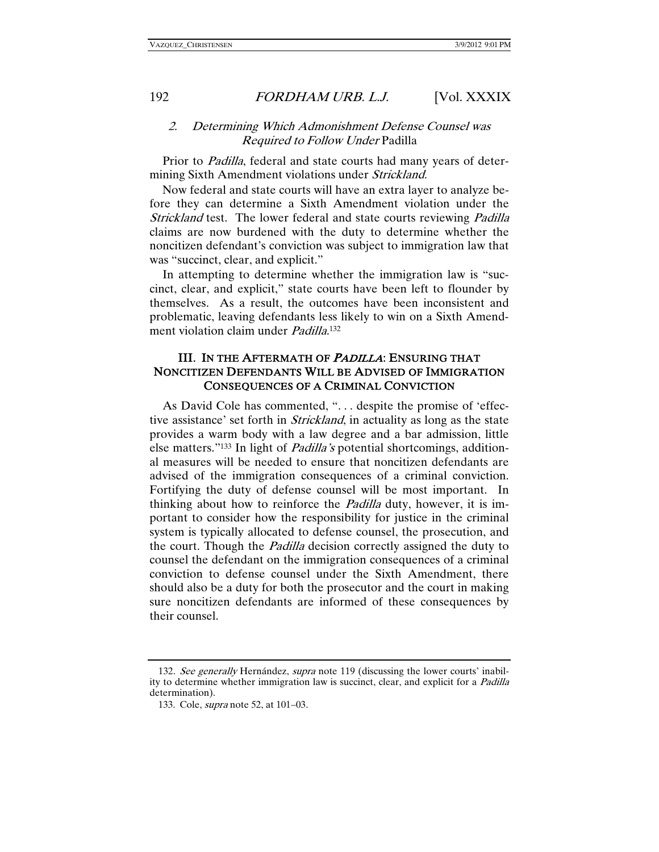### 2. Determining Which Admonishment Defense Counsel was Required to Follow Under Padilla

Prior to Padilla, federal and state courts had many years of determining Sixth Amendment violations under *Strickland*.

Now federal and state courts will have an extra layer to analyze before they can determine a Sixth Amendment violation under the Strickland test. The lower federal and state courts reviewing Padilla claims are now burdened with the duty to determine whether the noncitizen defendant's conviction was subject to immigration law that was "succinct, clear, and explicit."

In attempting to determine whether the immigration law is "succinct, clear, and explicit," state courts have been left to flounder by themselves. As a result, the outcomes have been inconsistent and problematic, leaving defendants less likely to win on a Sixth Amendment violation claim under *Padilla*.<sup>132</sup>

### III. IN THE AFTERMATH OF PADILLA: ENSURING THAT NONCITIZEN DEFENDANTS WILL BE ADVISED OF IMMIGRATION CONSEQUENCES OF A CRIMINAL CONVICTION

As David Cole has commented, ". . . despite the promise of 'effective assistance' set forth in *Strickland*, in actuality as long as the state provides a warm body with a law degree and a bar admission, little else matters."133 In light of Padilla's potential shortcomings, additional measures will be needed to ensure that noncitizen defendants are advised of the immigration consequences of a criminal conviction. Fortifying the duty of defense counsel will be most important. In thinking about how to reinforce the *Padilla* duty, however, it is important to consider how the responsibility for justice in the criminal system is typically allocated to defense counsel, the prosecution, and the court. Though the Padilla decision correctly assigned the duty to counsel the defendant on the immigration consequences of a criminal conviction to defense counsel under the Sixth Amendment, there should also be a duty for both the prosecutor and the court in making sure noncitizen defendants are informed of these consequences by their counsel.

<sup>132.</sup> See generally Hernández, supra note 119 (discussing the lower courts' inability to determine whether immigration law is succinct, clear, and explicit for a *Padilla* determination).

 <sup>133.</sup> Cole, supra note 52, at 101–03.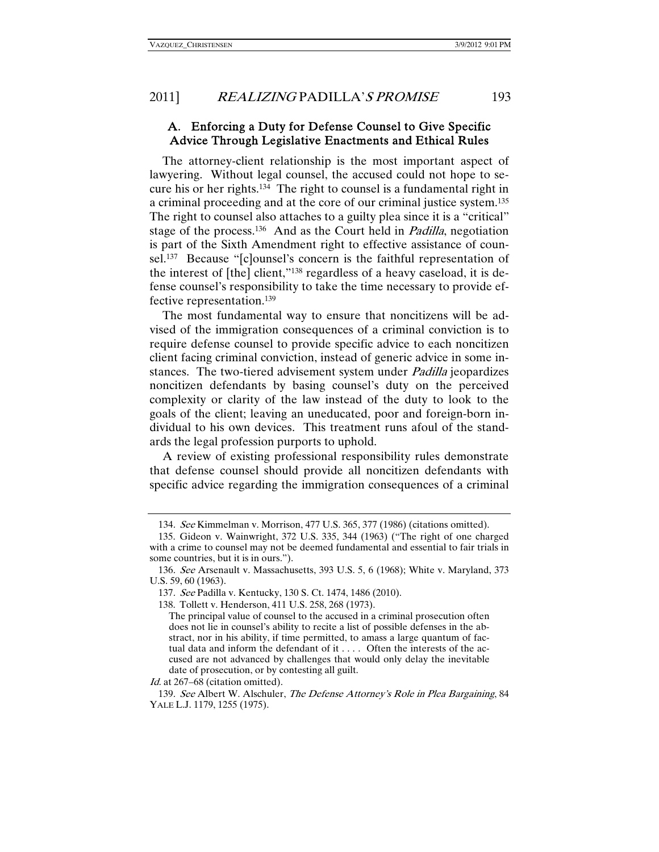### A. Enforcing a Duty for Defense Counsel to Give Specific Advice Through Legislative Enactments and Ethical Rules

The attorney-client relationship is the most important aspect of lawyering. Without legal counsel, the accused could not hope to secure his or her rights.134 The right to counsel is a fundamental right in a criminal proceeding and at the core of our criminal justice system.135 The right to counsel also attaches to a guilty plea since it is a "critical" stage of the process.<sup>136</sup> And as the Court held in *Padilla*, negotiation is part of the Sixth Amendment right to effective assistance of counsel.137 Because "[c]ounsel's concern is the faithful representation of the interest of [the] client,"138 regardless of a heavy caseload, it is defense counsel's responsibility to take the time necessary to provide effective representation.139

The most fundamental way to ensure that noncitizens will be advised of the immigration consequences of a criminal conviction is to require defense counsel to provide specific advice to each noncitizen client facing criminal conviction, instead of generic advice in some instances. The two-tiered advisement system under *Padilla* jeopardizes noncitizen defendants by basing counsel's duty on the perceived complexity or clarity of the law instead of the duty to look to the goals of the client; leaving an uneducated, poor and foreign-born individual to his own devices. This treatment runs afoul of the standards the legal profession purports to uphold.

A review of existing professional responsibility rules demonstrate that defense counsel should provide all noncitizen defendants with specific advice regarding the immigration consequences of a criminal

Id. at 267–68 (citation omitted).

139. See Albert W. Alschuler, The Defense Attorney's Role in Plea Bargaining, 84 YALE L.J. 1179, 1255 (1975).

<sup>134</sup>. See Kimmelman v. Morrison, 477 U.S. 365, 377 (1986) (citations omitted).

 <sup>135.</sup> Gideon v. Wainwright, 372 U.S. 335, 344 (1963) ("The right of one charged with a crime to counsel may not be deemed fundamental and essential to fair trials in some countries, but it is in ours.").

<sup>136</sup>. See Arsenault v. Massachusetts, 393 U.S. 5, 6 (1968); White v. Maryland, 373 U.S. 59, 60 (1963).

<sup>137</sup>. See Padilla v. Kentucky, 130 S. Ct. 1474, 1486 (2010).

 <sup>138.</sup> Tollett v. Henderson, 411 U.S. 258, 268 (1973).

The principal value of counsel to the accused in a criminal prosecution often does not lie in counsel's ability to recite a list of possible defenses in the abstract, nor in his ability, if time permitted, to amass a large quantum of factual data and inform the defendant of it . . . . Often the interests of the accused are not advanced by challenges that would only delay the inevitable date of prosecution, or by contesting all guilt.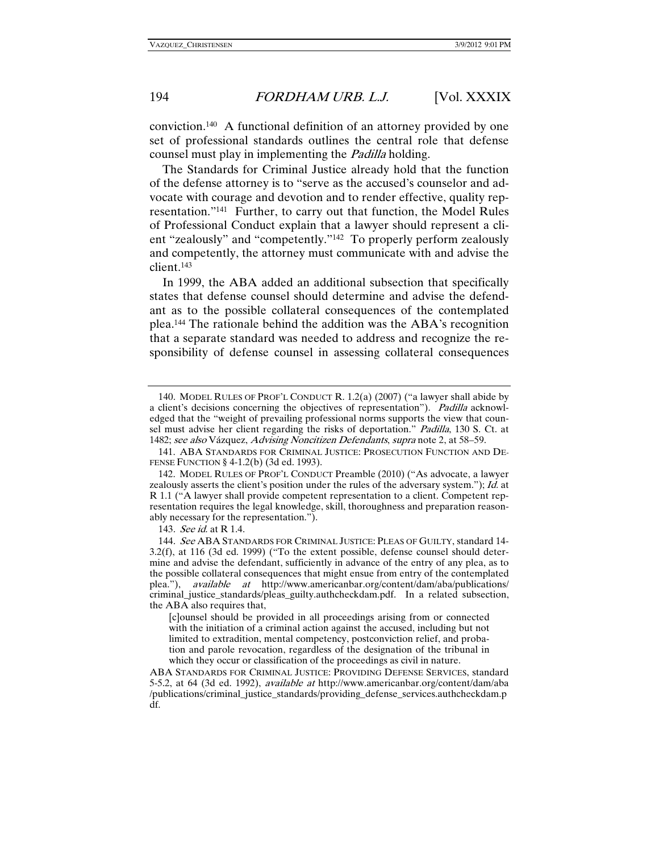conviction.140 A functional definition of an attorney provided by one set of professional standards outlines the central role that defense counsel must play in implementing the *Padilla* holding.

The Standards for Criminal Justice already hold that the function of the defense attorney is to "serve as the accused's counselor and advocate with courage and devotion and to render effective, quality representation."141 Further, to carry out that function, the Model Rules of Professional Conduct explain that a lawyer should represent a client "zealously" and "competently."142 To properly perform zealously and competently, the attorney must communicate with and advise the client.143

In 1999, the ABA added an additional subsection that specifically states that defense counsel should determine and advise the defendant as to the possible collateral consequences of the contemplated plea.144 The rationale behind the addition was the ABA's recognition that a separate standard was needed to address and recognize the responsibility of defense counsel in assessing collateral consequences

<sup>140</sup>. MODEL RULES OF PROF'L CONDUCT R. 1.2(a) (2007) ("a lawyer shall abide by a client's decisions concerning the objectives of representation"). Padilla acknowledged that the "weight of prevailing professional norms supports the view that counsel must advise her client regarding the risks of deportation." Padilla, 130 S. Ct. at 1482; see also Vázquez, Advising Noncitizen Defendants, supra note 2, at 58–59.

 <sup>141.</sup> ABA STANDARDS FOR CRIMINAL JUSTICE: PROSECUTION FUNCTION AND DE-FENSE FUNCTION § 4-1.2(b) (3d ed. 1993).

 <sup>142.</sup> MODEL RULES OF PROF'L CONDUCT Preamble (2010) ("As advocate, a lawyer zealously asserts the client's position under the rules of the adversary system."); Id. at R 1.1 ("A lawyer shall provide competent representation to a client. Competent representation requires the legal knowledge, skill, thoroughness and preparation reasonably necessary for the representation.").

<sup>143</sup>. See id. at R 1.4.

<sup>144.</sup> See ABA STANDARDS FOR CRIMINAL JUSTICE: PLEAS OF GUILTY, standard 14-3.2(f), at 116 (3d ed. 1999) ("To the extent possible, defense counsel should determine and advise the defendant, sufficiently in advance of the entry of any plea, as to the possible collateral consequences that might ensue from entry of the contemplated plea."), available at http://www.americanbar.org/content/dam/aba/publications/ criminal\_justice\_standards/pleas\_guilty.authcheckdam.pdf. In a related subsection, the ABA also requires that,

<sup>[</sup>c]ounsel should be provided in all proceedings arising from or connected with the initiation of a criminal action against the accused, including but not limited to extradition, mental competency, postconviction relief, and probation and parole revocation, regardless of the designation of the tribunal in which they occur or classification of the proceedings as civil in nature.

ABA STANDARDS FOR CRIMINAL JUSTICE: PROVIDING DEFENSE SERVICES, standard 5-5.2, at 64 (3d ed. 1992), available at http://www.americanbar.org/content/dam/aba /publications/criminal\_justice\_standards/providing\_defense\_services.authcheckdam.p df.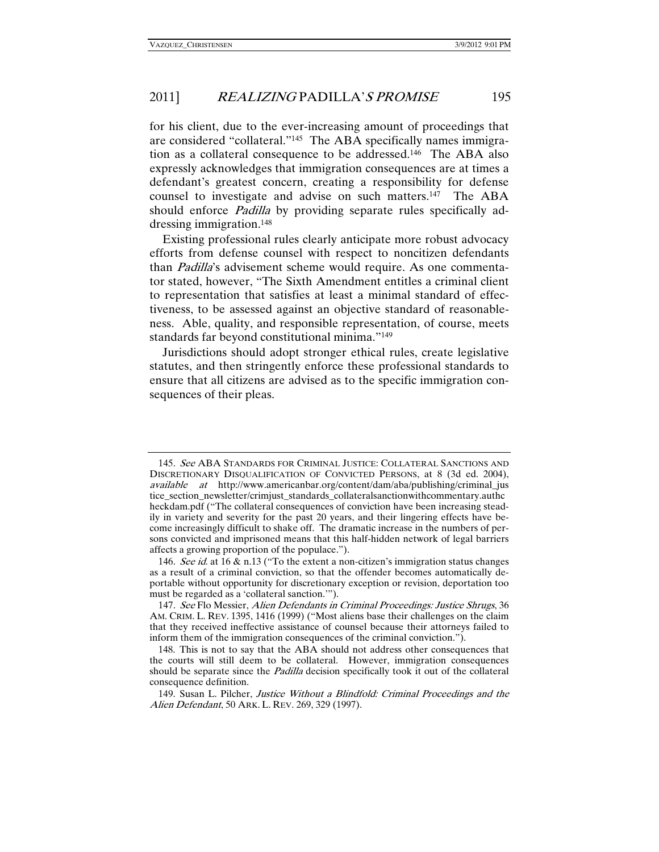for his client, due to the ever-increasing amount of proceedings that are considered "collateral."145 The ABA specifically names immigration as a collateral consequence to be addressed.146 The ABA also expressly acknowledges that immigration consequences are at times a defendant's greatest concern, creating a responsibility for defense counsel to investigate and advise on such matters.147 The ABA should enforce *Padilla* by providing separate rules specifically addressing immigration.148

Existing professional rules clearly anticipate more robust advocacy efforts from defense counsel with respect to noncitizen defendants than Padilla's advisement scheme would require. As one commentator stated, however, "The Sixth Amendment entitles a criminal client to representation that satisfies at least a minimal standard of effectiveness, to be assessed against an objective standard of reasonableness. Able, quality, and responsible representation, of course, meets standards far beyond constitutional minima."149

Jurisdictions should adopt stronger ethical rules, create legislative statutes, and then stringently enforce these professional standards to ensure that all citizens are advised as to the specific immigration consequences of their pleas.

<sup>145</sup>. See ABA STANDARDS FOR CRIMINAL JUSTICE: COLLATERAL SANCTIONS AND DISCRETIONARY DISQUALIFICATION OF CONVICTED PERSONS, at 8 (3d ed. 2004), available at http://www.americanbar.org/content/dam/aba/publishing/criminal\_jus tice\_section\_newsletter/crimjust\_standards\_collateralsanctionwithcommentary.authc heckdam.pdf ("The collateral consequences of conviction have been increasing steadily in variety and severity for the past 20 years, and their lingering effects have become increasingly difficult to shake off. The dramatic increase in the numbers of persons convicted and imprisoned means that this half-hidden network of legal barriers affects a growing proportion of the populace.").

<sup>146.</sup> See id. at 16 & n.13 ("To the extent a non-citizen's immigration status changes as a result of a criminal conviction, so that the offender becomes automatically deportable without opportunity for discretionary exception or revision, deportation too must be regarded as a 'collateral sanction.'").

<sup>147</sup>. See Flo Messier, Alien Defendants in Criminal Proceedings: Justice Shrugs, 36 AM. CRIM. L. REV. 1395, 1416 (1999) ("Most aliens base their challenges on the claim that they received ineffective assistance of counsel because their attorneys failed to inform them of the immigration consequences of the criminal conviction.").

 <sup>148.</sup> This is not to say that the ABA should not address other consequences that the courts will still deem to be collateral. However, immigration consequences should be separate since the *Padilla* decision specifically took it out of the collateral consequence definition.

 <sup>149.</sup> Susan L. Pilcher, Justice Without a Blindfold: Criminal Proceedings and the Alien Defendant, 50 ARK. L. REV. 269, 329 (1997).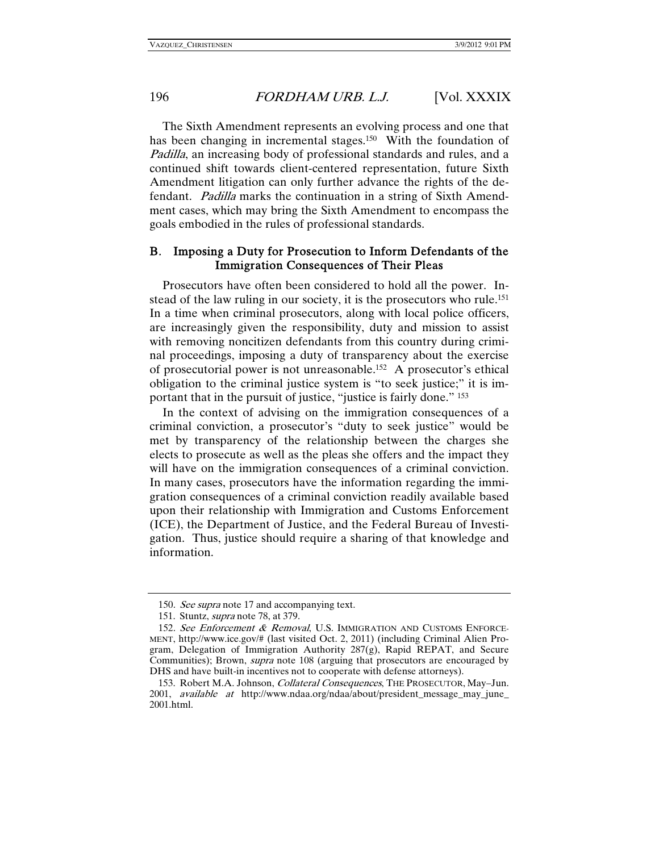The Sixth Amendment represents an evolving process and one that has been changing in incremental stages.<sup>150</sup> With the foundation of Padilla, an increasing body of professional standards and rules, and a continued shift towards client-centered representation, future Sixth Amendment litigation can only further advance the rights of the defendant. Padilla marks the continuation in a string of Sixth Amendment cases, which may bring the Sixth Amendment to encompass the goals embodied in the rules of professional standards.

### B. Imposing a Duty for Prosecution to Inform Defendants of the Immigration Consequences of Their Pleas

Prosecutors have often been considered to hold all the power. Instead of the law ruling in our society, it is the prosecutors who rule.<sup>151</sup> In a time when criminal prosecutors, along with local police officers, are increasingly given the responsibility, duty and mission to assist with removing noncitizen defendants from this country during criminal proceedings, imposing a duty of transparency about the exercise of prosecutorial power is not unreasonable.152 A prosecutor's ethical obligation to the criminal justice system is "to seek justice;" it is important that in the pursuit of justice, "justice is fairly done." 153

In the context of advising on the immigration consequences of a criminal conviction, a prosecutor's "duty to seek justice" would be met by transparency of the relationship between the charges she elects to prosecute as well as the pleas she offers and the impact they will have on the immigration consequences of a criminal conviction. In many cases, prosecutors have the information regarding the immigration consequences of a criminal conviction readily available based upon their relationship with Immigration and Customs Enforcement (ICE), the Department of Justice, and the Federal Bureau of Investigation. Thus, justice should require a sharing of that knowledge and information.

<sup>150.</sup> See supra note 17 and accompanying text.

 <sup>151.</sup> Stuntz, supra note 78, at 379.

<sup>152.</sup> See Enforcement & Removal, U.S. IMMIGRATION AND CUSTOMS ENFORCE-MENT, http://www.ice.gov/# (last visited Oct. 2, 2011) (including Criminal Alien Program, Delegation of Immigration Authority  $287(g)$ , Rapid REPAT, and Secure Communities); Brown, *supra* note 108 (arguing that prosecutors are encouraged by DHS and have built-in incentives not to cooperate with defense attorneys).

 <sup>153.</sup> Robert M.A. Johnson, Collateral Consequences, THE PROSECUTOR, May–Jun. 2001, available at http://www.ndaa.org/ndaa/about/president\_message\_may\_june\_ 2001.html.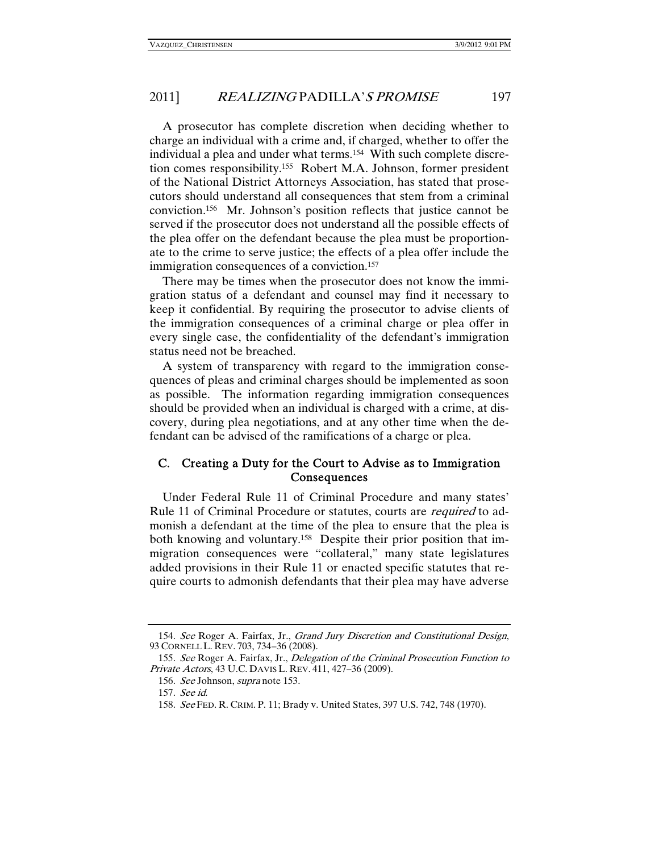A prosecutor has complete discretion when deciding whether to charge an individual with a crime and, if charged, whether to offer the individual a plea and under what terms.154 With such complete discretion comes responsibility.155 Robert M.A. Johnson, former president of the National District Attorneys Association, has stated that prosecutors should understand all consequences that stem from a criminal conviction.156 Mr. Johnson's position reflects that justice cannot be served if the prosecutor does not understand all the possible effects of the plea offer on the defendant because the plea must be proportionate to the crime to serve justice; the effects of a plea offer include the immigration consequences of a conviction.<sup>157</sup>

There may be times when the prosecutor does not know the immigration status of a defendant and counsel may find it necessary to keep it confidential. By requiring the prosecutor to advise clients of the immigration consequences of a criminal charge or plea offer in every single case, the confidentiality of the defendant's immigration status need not be breached.

A system of transparency with regard to the immigration consequences of pleas and criminal charges should be implemented as soon as possible. The information regarding immigration consequences should be provided when an individual is charged with a crime, at discovery, during plea negotiations, and at any other time when the defendant can be advised of the ramifications of a charge or plea.

### C. Creating a Duty for the Court to Advise as to Immigration **Consequences**

Under Federal Rule 11 of Criminal Procedure and many states' Rule 11 of Criminal Procedure or statutes, courts are *required* to admonish a defendant at the time of the plea to ensure that the plea is both knowing and voluntary.<sup>158</sup> Despite their prior position that immigration consequences were "collateral," many state legislatures added provisions in their Rule 11 or enacted specific statutes that require courts to admonish defendants that their plea may have adverse

<sup>154</sup>. See Roger A. Fairfax, Jr., Grand Jury Discretion and Constitutional Design, 93 CORNELL L. REV. 703, 734–36 (2008).

<sup>155</sup>. See Roger A. Fairfax, Jr., Delegation of the Criminal Prosecution Function to Private Actors, 43 U.C. DAVIS L. REV. 411, 427–36 (2009).

<sup>156</sup>. See Johnson, supra note 153.

<sup>157</sup>. See id.

<sup>158</sup>. See FED. R. CRIM. P. 11; Brady v. United States, 397 U.S. 742, 748 (1970).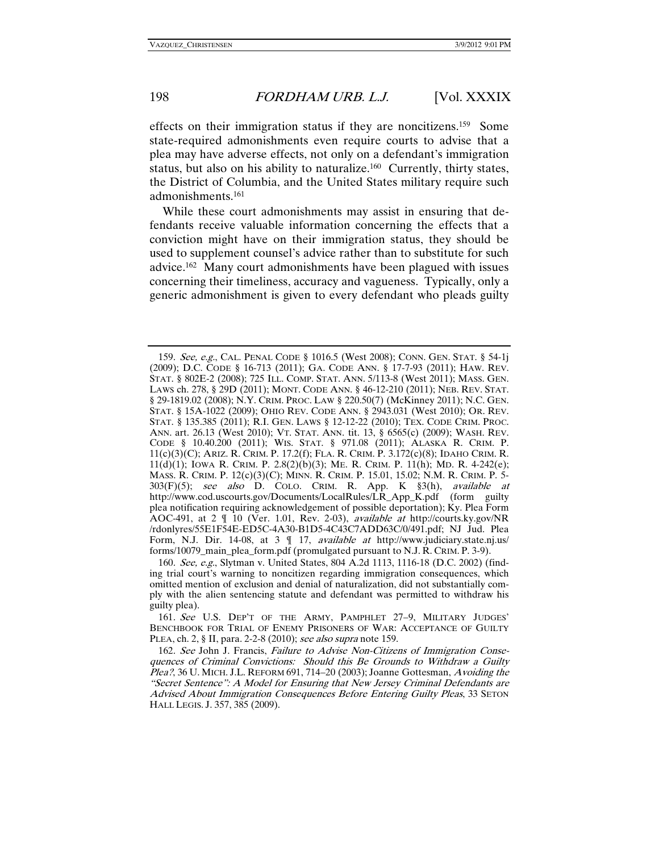effects on their immigration status if they are noncitizens.159 Some state-required admonishments even require courts to advise that a plea may have adverse effects, not only on a defendant's immigration status, but also on his ability to naturalize.<sup>160</sup> Currently, thirty states, the District of Columbia, and the United States military require such admonishments.161

While these court admonishments may assist in ensuring that defendants receive valuable information concerning the effects that a conviction might have on their immigration status, they should be used to supplement counsel's advice rather than to substitute for such advice.162 Many court admonishments have been plagued with issues concerning their timeliness, accuracy and vagueness. Typically, only a generic admonishment is given to every defendant who pleads guilty

<sup>159</sup>. See, e.g., CAL. PENAL CODE § 1016.5 (West 2008); CONN. GEN. STAT. § 54-1j (2009); D.C. CODE § 16-713 (2011); GA. CODE ANN. § 17-7-93 (2011); HAW. REV. STAT. § 802E-2 (2008); 725 ILL. COMP. STAT. ANN. 5/113-8 (West 2011); MASS. GEN. LAWS ch. 278, § 29D (2011); MONT. CODE ANN. § 46-12-210 (2011); NEB. REV. STAT. § 29-1819.02 (2008); N.Y. CRIM. PROC. LAW § 220.50(7) (McKinney 2011); N.C. GEN. STAT. § 15A-1022 (2009); OHIO REV. CODE ANN. § 2943.031 (West 2010); OR. REV. STAT. § 135.385 (2011); R.I. GEN. LAWS § 12-12-22 (2010); TEX. CODE CRIM. PROC. ANN. art. 26.13 (West 2010); VT. STAT. ANN. tit. 13, § 6565(c) (2009); WASH. REV. CODE § 10.40.200 (2011); WIS. STAT. § 971.08 (2011); ALASKA R. CRIM. P. 11(c)(3)(C); ARIZ. R. CRIM. P. 17.2(f); FLA. R. CRIM. P. 3.172(c)(8); IDAHO CRIM. R. 11(d)(1); IOWA R. CRIM. P. 2.8(2)(b)(3); ME. R. CRIM. P. 11(h); MD. R. 4-242(e); MASS. R. CRIM. P. 12(c)(3)(C); MINN. R. CRIM. P. 15.01, 15.02; N.M. R. CRIM. P. 5-  $303(F)(5)$ ; see also D. COLO. CRIM. R. App. K  $\S3(h)$ , available at http://www.cod.uscourts.gov/Documents/LocalRules/LR\_App\_K.pdf (form guilty plea notification requiring acknowledgement of possible deportation); Ky. Plea Form AOC-491, at 2 ¶ 10 (Ver. 1.01, Rev. 2-03), available at http://courts.ky.gov/NR /rdonlyres/55E1F54E-ED5C-4A30-B1D5-4C43C7ADD63C/0/491.pdf; NJ Jud. Plea Form, N.J. Dir. 14-08, at 3  $\parallel$  17, *available at* http://www.judiciary.state.nj.us/ forms/10079\_main\_plea\_form.pdf (promulgated pursuant to N.J. R. CRIM. P. 3-9).

<sup>160</sup>. See, e.g., Slytman v. United States, 804 A.2d 1113, 1116-18 (D.C. 2002) (finding trial court's warning to noncitizen regarding immigration consequences, which omitted mention of exclusion and denial of naturalization, did not substantially comply with the alien sentencing statute and defendant was permitted to withdraw his guilty plea).

<sup>161</sup>. See U.S. DEP'T OF THE ARMY, PAMPHLET 27–9, MILITARY JUDGES' BENCHBOOK FOR TRIAL OF ENEMY PRISONERS OF WAR: ACCEPTANCE OF GUILTY PLEA, ch. 2, § II, para. 2-2-8 (2010); see also supra note 159.

<sup>162</sup>. See John J. Francis, Failure to Advise Non-Citizens of Immigration Consequences of Criminal Convictions: Should this Be Grounds to Withdraw a Guilty Plea?, 36 U. MICH. J.L. REFORM 691, 714–20 (2003); Joanne Gottesman, Avoiding the "Secret Sentence": A Model for Ensuring that New Jersey Criminal Defendants are Advised About Immigration Consequences Before Entering Guilty Pleas, 33 SETON HALL LEGIS. J. 357, 385 (2009).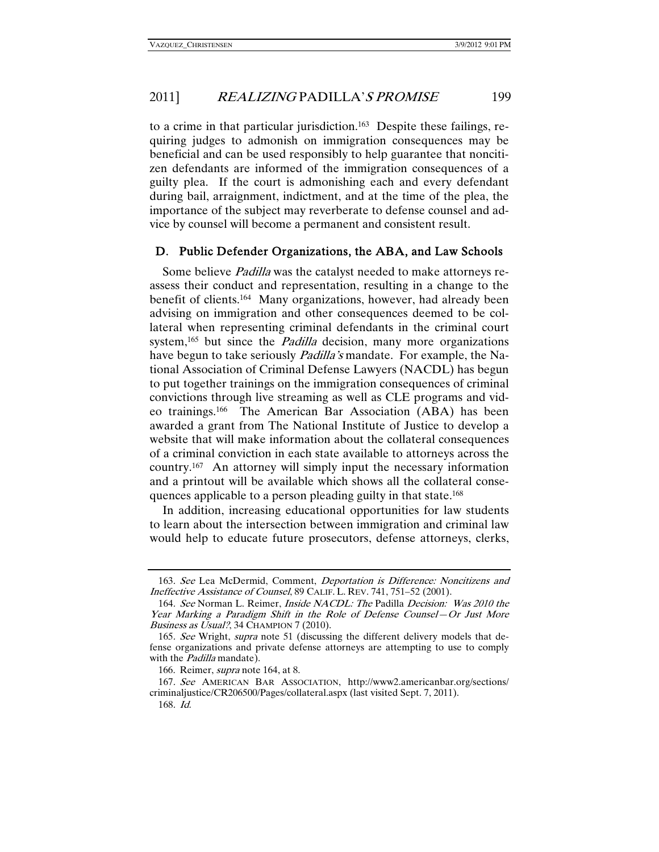to a crime in that particular jurisdiction.163 Despite these failings, requiring judges to admonish on immigration consequences may be beneficial and can be used responsibly to help guarantee that noncitizen defendants are informed of the immigration consequences of a guilty plea. If the court is admonishing each and every defendant during bail, arraignment, indictment, and at the time of the plea, the importance of the subject may reverberate to defense counsel and advice by counsel will become a permanent and consistent result.

### D. Public Defender Organizations, the ABA, and Law Schools

Some believe Padilla was the catalyst needed to make attorneys reassess their conduct and representation, resulting in a change to the benefit of clients.164 Many organizations, however, had already been advising on immigration and other consequences deemed to be collateral when representing criminal defendants in the criminal court system,<sup>165</sup> but since the *Padilla* decision, many more organizations have begun to take seriously *Padilla's* mandate. For example, the National Association of Criminal Defense Lawyers (NACDL) has begun to put together trainings on the immigration consequences of criminal convictions through live streaming as well as CLE programs and video trainings.166 The American Bar Association (ABA) has been awarded a grant from The National Institute of Justice to develop a website that will make information about the collateral consequences of a criminal conviction in each state available to attorneys across the country.167 An attorney will simply input the necessary information and a printout will be available which shows all the collateral consequences applicable to a person pleading guilty in that state.168

In addition, increasing educational opportunities for law students to learn about the intersection between immigration and criminal law would help to educate future prosecutors, defense attorneys, clerks,

166. Reimer, supra note 164, at 8.

<sup>163</sup>. See Lea McDermid, Comment, Deportation is Difference: Noncitizens and Ineffective Assistance of Counsel, 89 CALIF. L. REV. 741, 751–52 (2001).

<sup>164</sup>. See Norman L. Reimer, Inside NACDL: The Padilla Decision: Was 2010 the Year Marking a Paradigm Shift in the Role of Defense Counsel—Or Just More Business as Usual?, 34 CHAMPION 7 (2010).

<sup>165.</sup> See Wright, supra note 51 (discussing the different delivery models that defense organizations and private defense attorneys are attempting to use to comply with the *Padilla* mandate).

<sup>167</sup>. See AMERICAN BAR ASSOCIATION, http://www2.americanbar.org/sections/ criminaljustice/CR206500/Pages/collateral.aspx (last visited Sept. 7, 2011).

<sup>168</sup>. Id.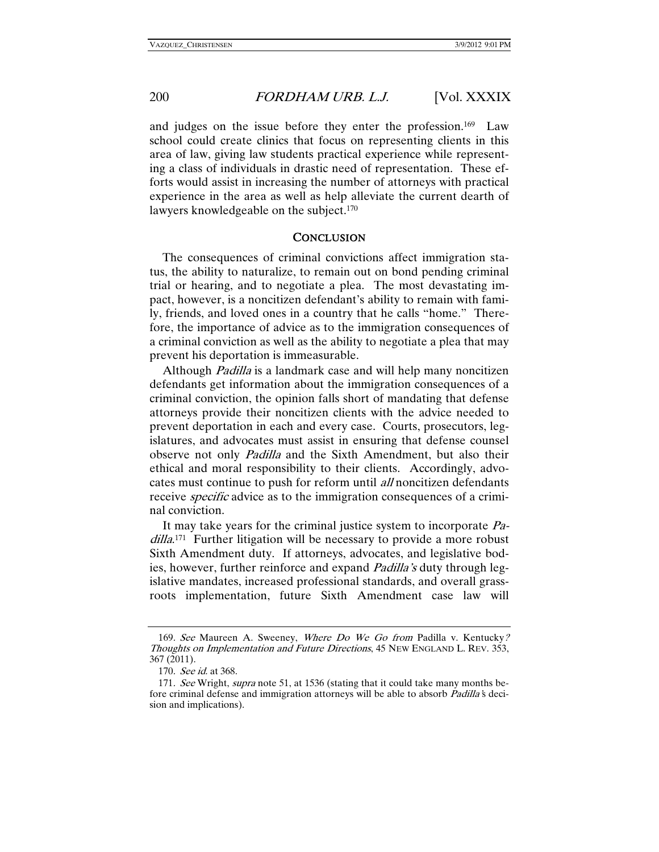and judges on the issue before they enter the profession.169 Law school could create clinics that focus on representing clients in this area of law, giving law students practical experience while representing a class of individuals in drastic need of representation. These efforts would assist in increasing the number of attorneys with practical experience in the area as well as help alleviate the current dearth of lawyers knowledgeable on the subject.<sup>170</sup>

### **CONCLUSION**

The consequences of criminal convictions affect immigration status, the ability to naturalize, to remain out on bond pending criminal trial or hearing, and to negotiate a plea. The most devastating impact, however, is a noncitizen defendant's ability to remain with family, friends, and loved ones in a country that he calls "home." Therefore, the importance of advice as to the immigration consequences of a criminal conviction as well as the ability to negotiate a plea that may prevent his deportation is immeasurable.

Although *Padilla* is a landmark case and will help many noncitizen defendants get information about the immigration consequences of a criminal conviction, the opinion falls short of mandating that defense attorneys provide their noncitizen clients with the advice needed to prevent deportation in each and every case. Courts, prosecutors, legislatures, and advocates must assist in ensuring that defense counsel observe not only Padilla and the Sixth Amendment, but also their ethical and moral responsibility to their clients. Accordingly, advocates must continue to push for reform until all noncitizen defendants receive *specific* advice as to the immigration consequences of a criminal conviction.

It may take years for the criminal justice system to incorporate Padilla.<sup>171</sup> Further litigation will be necessary to provide a more robust Sixth Amendment duty. If attorneys, advocates, and legislative bodies, however, further reinforce and expand *Padilla's* duty through legislative mandates, increased professional standards, and overall grassroots implementation, future Sixth Amendment case law will

<sup>169</sup>. See Maureen A. Sweeney, Where Do We Go from Padilla v. Kentucky? Thoughts on Implementation and Future Directions, 45 NEW ENGLAND L. REV. 353, 367 (2011).

<sup>170</sup>. See id. at 368.

<sup>171.</sup> See Wright, supra note 51, at 1536 (stating that it could take many months before criminal defense and immigration attorneys will be able to absorb *Padilla's* decision and implications).